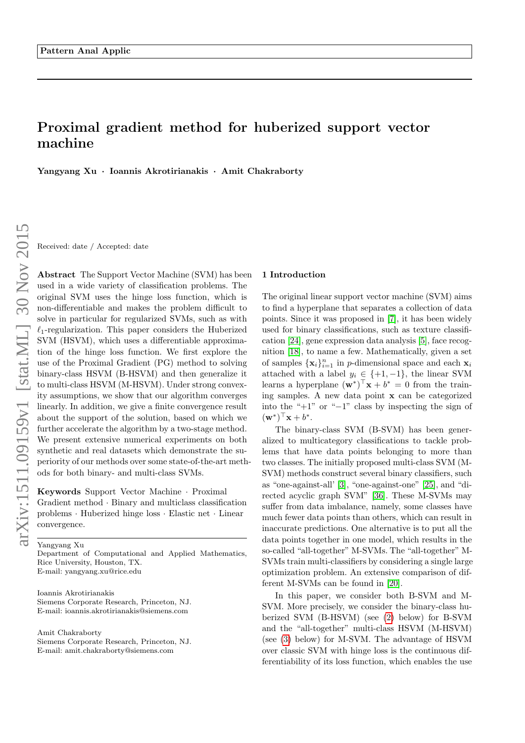# Proximal gradient method for huberized support vector machine

Yangyang Xu · Ioannis Akrotirianakis · Amit Chakraborty

Received: date / Accepted: date

Abstract The Support Vector Machine (SVM) has been used in a wide variety of classification problems. The original SVM uses the hinge loss function, which is non-differentiable and makes the problem difficult to solve in particular for regularized SVMs, such as with  $\ell_1$ -regularization. This paper considers the Huberized SVM (HSVM), which uses a differentiable approximation of the hinge loss function. We first explore the use of the Proximal Gradient (PG) method to solving binary-class HSVM (B-HSVM) and then generalize it to multi-class HSVM (M-HSVM). Under strong convexity assumptions, we show that our algorithm converges linearly. In addition, we give a finite convergence result about the support of the solution, based on which we further accelerate the algorithm by a two-stage method. We present extensive numerical experiments on both synthetic and real datasets which demonstrate the superiority of our methods over some state-of-the-art methods for both binary- and multi-class SVMs.

Keywords Support Vector Machine · Proximal Gradient method · Binary and multiclass classification problems · Huberized hinge loss · Elastic net · Linear convergence.

Yangyang Xu

Department of Computational and Applied Mathematics, Rice University, Houston, TX. E-mail: yangyang.xu@rice.edu

Ioannis Akrotirianakis Siemens Corporate Research, Princeton, NJ. E-mail: ioannis.akrotirianakis@siemens.com

Amit Chakraborty

Siemens Corporate Research, Princeton, NJ. E-mail: amit.chakraborty@siemens.com

#### 1 Introduction

The original linear support vector machine (SVM) aims to find a hyperplane that separates a collection of data points. Since it was proposed in [\[7\]](#page-15-0), it has been widely used for binary classifications, such as texture classification [\[24\]](#page-15-1), gene expression data analysis [\[5\]](#page-15-2), face recognition [\[18\]](#page-15-3), to name a few. Mathematically, given a set of samples  $\{\mathbf x_i\}_{i=1}^n$  in *p*-dimensional space and each  $\mathbf x_i$ attached with a label  $y_i \in \{+1, -1\}$ , the linear SVM learns a hyperplane  $(\mathbf{w}^*)^T \mathbf{x} + b^* = 0$  from the training samples. A new data point x can be categorized into the " $+1$ " or " $-1$ " class by inspecting the sign of  $(\mathbf{w}^*)^{\top} \mathbf{x} + b^*$ .

The binary-class SVM (B-SVM) has been generalized to multicategory classifications to tackle problems that have data points belonging to more than two classes. The initially proposed multi-class SVM (M-SVM) methods construct several binary classifiers, such as "one-against-all' [\[3\]](#page-15-4), "one-against-one" [\[25\]](#page-15-5), and "directed acyclic graph SVM" [\[36\]](#page-15-6). These M-SVMs may suffer from data imbalance, namely, some classes have much fewer data points than others, which can result in inaccurate predictions. One alternative is to put all the data points together in one model, which results in the so-called "all-together" M-SVMs. The "all-together" M-SVMs train multi-classifiers by considering a single large optimization problem. An extensive comparison of different M-SVMs can be found in [\[20\]](#page-15-7).

In this paper, we consider both B-SVM and M-SVM. More precisely, we consider the binary-class huberized SVM (B-HSVM) (see [\(2\)](#page-2-0) below) for B-SVM and the "all-together" multi-class HSVM (M-HSVM) (see [\(3\)](#page-2-1) below) for M-SVM. The advantage of HSVM over classic SVM with hinge loss is the continuous differentiability of its loss function, which enables the use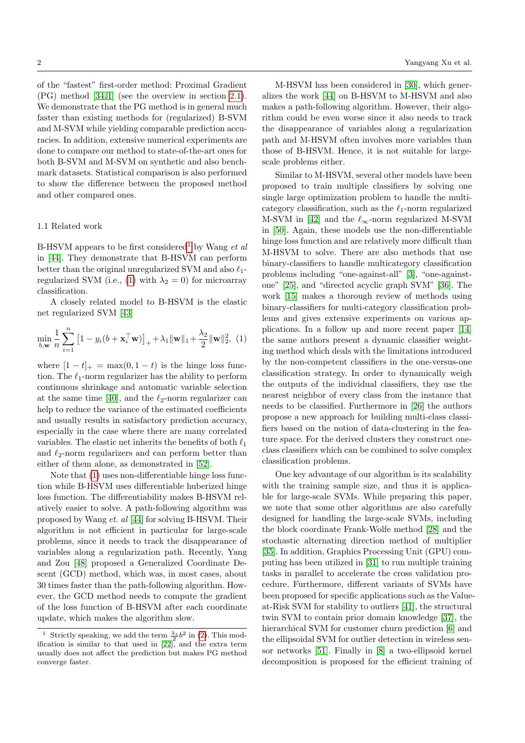of the "fastest" first-order method: Proximal Gradient (PG) method [\[34,](#page-15-8) [1\]](#page-15-9) (see the overview in section [2.1\)](#page-2-2). We demonstrate that the PG method is in general much faster than existing methods for (regularized) B-SVM and M-SVM while yielding comparable prediction accuracies. In addition, extensive numerical experiments are done to compare our method to state-of-the-art ones for both B-SVM and M-SVM on synthetic and also benchmark datasets. Statistical comparison is also performed to show the difference between the proposed method and other compared ones.

#### 1.1 Related work

B-HSVM appears to be first considered<sup>[1](#page-1-0)</sup> by Wang et al. in [\[44\]](#page-16-0). They demonstrate that B-HSVM can perform better than the original unregularized SVM and also  $\ell_1$ -regularized SVM (i.e., [\(1\)](#page-1-1) with  $\lambda_2 = 0$ ) for microarray classification.

<span id="page-1-1"></span>A closely related model to B-HSVM is the elastic net regularized SVM [\[43\]](#page-16-1)

$$
\min_{b, \mathbf{w}} \frac{1}{n} \sum_{i=1}^{n} \left[ 1 - y_i(b + \mathbf{x}_i^{\top} \mathbf{w}) \right]_{+} + \lambda_1 \|\mathbf{w}\|_1 + \frac{\lambda_2}{2} \|\mathbf{w}\|_2^2, (1)
$$

where  $[1 - t]_+ = \max(0, 1 - t)$  is the hinge loss function. The  $\ell_1$ -norm regularizer has the ability to perform continuous shrinkage and automatic variable selection at the same time [\[40\]](#page-16-2), and the  $\ell_2$ -norm regularizer can help to reduce the variance of the estimated coefficients and usually results in satisfactory prediction accuracy, especially in the case where there are many correlated variables. The elastic net inherits the benefits of both  $\ell_1$ and  $\ell_2$ -norm regularizers and can perform better than either of them alone, as demonstrated in [\[52\]](#page-16-3).

Note that [\(1\)](#page-1-1) uses non-differentiable hinge loss function while B-HSVM uses differentiable huberized hinge loss function. The differentiability makes B-HSVM relatively easier to solve. A path-following algorithm was proposed by Wang et. al [\[44\]](#page-16-0) for solving B-HSVM. Their algorithm is not efficient in particular for large-scale problems, since it needs to track the disappearance of variables along a regularization path. Recently, Yang and Zou [\[48\]](#page-16-4) proposed a Generalized Coordinate Descent (GCD) method, which was, in most cases, about 30 times faster than the path-following algorithm. However, the GCD method needs to compute the gradient of the loss function of B-HSVM after each coordinate update, which makes the algorithm slow.

M-HSVM has been considered in [\[30\]](#page-15-11), which generalizes the work [\[44\]](#page-16-0) on B-HSVM to M-HSVM and also makes a path-following algorithm. However, their algorithm could be even worse since it also needs to track the disappearance of variables along a regularization path and M-HSVM often involves more variables than those of B-HSVM. Hence, it is not suitable for largescale problems either.

Similar to M-HSVM, several other models have been proposed to train multiple classifiers by solving one single large optimization problem to handle the multicategory classification, such as the  $\ell_1$ -norm regularized M-SVM in [\[42\]](#page-16-5) and the  $\ell_{\infty}$ -norm regularized M-SVM in [\[50\]](#page-16-6). Again, these models use the non-differentiable hinge loss function and are relatively more difficult than M-HSVM to solve. There are also methods that use binary-classifiers to handle multicategory classification problems including "one-against-all" [\[3\]](#page-15-4), "one-againstone" [\[25\]](#page-15-5), and "directed acyclic graph SVM" [\[36\]](#page-15-6). The work [\[15\]](#page-15-12) makes a thorough review of methods using binary-classifiers for multi-category classification problems and gives extensive experiments on various applications. In a follow up and more recent paper [\[14\]](#page-15-13) the same authors present a dynamic classifier weighting method which deals with the limitations introduced by the non-competent classifiers in the one-versus-one classification strategy. In order to dynamically weigh the outputs of the individual classifiers, they use the nearest neighbor of every class from the instance that needs to be classified. Furthermore in [\[26\]](#page-15-14) the authors propose a new approach for building multi-class classifiers based on the notion of data-clustering in the feature space. For the derived clusters they construct oneclass classifiers which can be combined to solve complex classification problems.

One key advantage of our algorithm is its scalability with the training sample size, and thus it is applicable for large-scale SVMs. While preparing this paper, we note that some other algorithms are also carefully designed for handling the large-scale SVMs, including the block coordinate Frank-Wolfe method [\[28\]](#page-15-15) and the stochastic alternating direction method of multiplier [\[35\]](#page-15-16). In addition, Graphics Processing Unit (GPU) computing has been utilized in [\[31\]](#page-15-17) to run multiple training tasks in parallel to accelerate the cross validation procedure. Furthermore, different variants of SVMs have been proposed for specific applications such as the Valueat-Risk SVM for stability to outliers [\[41\]](#page-16-7), the structural twin SVM to contain prior domain knowledge [\[37\]](#page-15-18), the hierarchical SVM for customer churn prediction [\[6\]](#page-15-19) and the ellipsoidal SVM for outlier detection in wireless sensor networks [\[51\]](#page-16-8). Finally in [\[8\]](#page-15-20) a two-ellipsoid kernel decomposition is proposed for the efficient training of

<span id="page-1-0"></span><sup>&</sup>lt;sup>1</sup> Strictly speaking, we add the term  $\frac{\lambda_3}{2}b^2$  in [\(2\)](#page-2-0). This modification is similar to that used in [\[22\]](#page-15-10), and the extra term usually does not affect the prediction but makes PG method converge faster.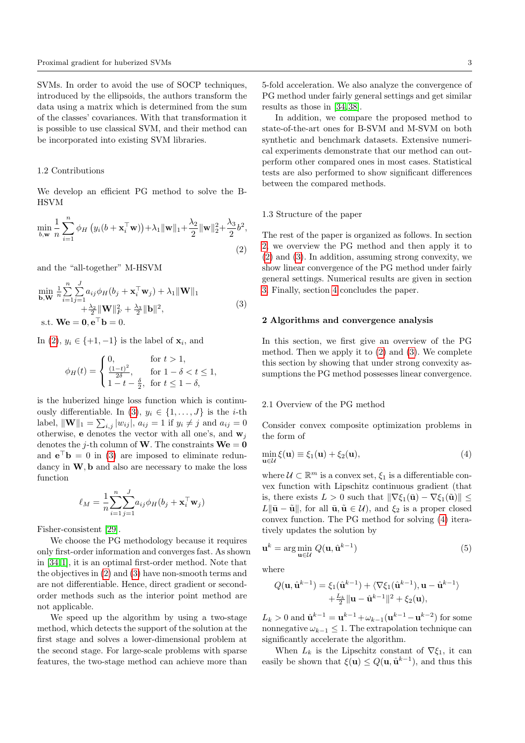SVMs. In order to avoid the use of SOCP techniques, introduced by the ellipsoids, the authors transform the data using a matrix which is determined from the sum of the classes' covariances. With that transformation it is possible to use classical SVM, and their method can be incorporated into existing SVM libraries.

### 1.2 Contributions

<span id="page-2-0"></span>We develop an efficient PG method to solve the B-HSVM

$$
\min_{b,\mathbf{w}} \frac{1}{n} \sum_{i=1}^{n} \phi_H \left( y_i(b + \mathbf{x}_i^{\top} \mathbf{w}) \right) + \lambda_1 \|\mathbf{w}\|_1 + \frac{\lambda_2}{2} \|\mathbf{w}\|_2^2 + \frac{\lambda_3}{2} b^2,
$$
\n(2)

and the "all-together" M-HSVM

$$
\min_{\mathbf{b}, \mathbf{W}} \frac{1}{n} \sum_{i=1}^{n} \sum_{j=1}^{J} a_{ij} \phi_H(b_j + \mathbf{x}_i^{\top} \mathbf{w}_j) + \lambda_1 \|\mathbf{W}\|_1
$$
  
 
$$
+ \frac{\lambda_2}{2} \|\mathbf{W}\|_F^2 + \frac{\lambda_3}{2} \|\mathbf{b}\|^2,
$$
  
s.t. 
$$
\mathbf{W}\mathbf{e} = \mathbf{0}, \mathbf{e}^{\top}\mathbf{b} = 0.
$$
 (3)

In  $(2), y_i \in \{+1, -1\}$  $(2), y_i \in \{+1, -1\}$  is the label of  $\mathbf{x}_i$ , and

$$
\phi_H(t) = \begin{cases} 0, & \text{for } t > 1, \\ \frac{(1-t)^2}{2\delta}, & \text{for } 1 - \delta < t \le 1, \\ 1 - t - \frac{\delta}{2}, & \text{for } t \le 1 - \delta, \end{cases}
$$

is the huberized hinge loss function which is continu-ously differentiable. In [\(3\)](#page-2-1),  $y_i \in \{1, \ldots, J\}$  is the *i*-th label,  $\|\mathbf{W}\|_1 = \sum_{i,j} |w_{ij}|, a_{ij} = 1$  if  $y_i \neq j$  and  $a_{ij} = 0$ otherwise, **e** denotes the vector with all one's, and  $w_j$ denotes the j-th column of **W**. The constraints  $\mathbf{W}\mathbf{e} = \mathbf{0}$ and  $\mathbf{e}^{\top}\mathbf{b} = 0$  in [\(3\)](#page-2-1) are imposed to eliminate redundancy in  $W$ , b and also are necessary to make the loss function

$$
\ell_M = \frac{1}{n} \sum_{i=1}^n \sum_{j=1}^J a_{ij} \phi_H(b_j + \mathbf{x}_i^{\top} \mathbf{w}_j)
$$

Fisher-consistent [\[29\]](#page-15-21).

We choose the PG methodology because it requires only first-order information and converges fast. As shown in [\[34,](#page-15-8) [1\]](#page-15-9), it is an optimal first-order method. Note that the objectives in [\(2\)](#page-2-0) and [\(3\)](#page-2-1) have non-smooth terms and are not differentiable. Hence, direct gradient or secondorder methods such as the interior point method are not applicable.

We speed up the algorithm by using a two-stage method, which detects the support of the solution at the first stage and solves a lower-dimensional problem at the second stage. For large-scale problems with sparse features, the two-stage method can achieve more than

5-fold acceleration. We also analyze the convergence of PG method under fairly general settings and get similar results as those in [\[34,](#page-15-8) [38\]](#page-16-9).

In addition, we compare the proposed method to state-of-the-art ones for B-SVM and M-SVM on both synthetic and benchmark datasets. Extensive numerical experiments demonstrate that our method can outperform other compared ones in most cases. Statistical tests are also performed to show significant differences between the compared methods.

#### 1.3 Structure of the paper

<span id="page-2-1"></span>The rest of the paper is organized as follows. In section [2,](#page-2-3) we overview the PG method and then apply it to [\(2\)](#page-2-0) and [\(3\)](#page-2-1). In addition, assuming strong convexity, we show linear convergence of the PG method under fairly general settings. Numerical results are given in section [3.](#page-6-0) Finally, section [4](#page-13-0) concludes the paper.

## <span id="page-2-3"></span>2 Algorithms and convergence analysis

In this section, we first give an overview of the PG method. Then we apply it to [\(2\)](#page-2-0) and [\(3\)](#page-2-1). We complete this section by showing that under strong convexity assumptions the PG method possesses linear convergence.

#### <span id="page-2-2"></span>2.1 Overview of the PG method

<span id="page-2-4"></span>Consider convex composite optimization problems in the form of

$$
\min_{\mathbf{u}\in\mathcal{U}}\xi(\mathbf{u})\equiv\xi_1(\mathbf{u})+\xi_2(\mathbf{u}),\tag{4}
$$

where  $\mathcal{U} \subset \mathbb{R}^m$  is a convex set,  $\xi_1$  is a differentiable convex function with Lipschitz continuous gradient (that is, there exists  $L > 0$  such that  $\|\nabla \xi_1(\bar{\mathbf{u}}) - \nabla \xi_1(\tilde{\mathbf{u}})\| \leq$  $L\|\bar{\mathbf{u}} - \tilde{\mathbf{u}}\|$ , for all  $\bar{\mathbf{u}}, \tilde{\mathbf{u}} \in \mathcal{U}$ , and  $\xi_2$  is a proper closed convex function. The PG method for solving [\(4\)](#page-2-4) iteratively updates the solution by

<span id="page-2-5"></span>
$$
\mathbf{u}^{k} = \arg\min_{\mathbf{u}\in\mathcal{U}} Q(\mathbf{u}, \hat{\mathbf{u}}^{k-1})
$$
(5)

where

$$
Q(\mathbf{u}, \hat{\mathbf{u}}^{k-1}) = \xi_1(\hat{\mathbf{u}}^{k-1}) + \langle \nabla \xi_1(\hat{\mathbf{u}}^{k-1}), \mathbf{u} - \hat{\mathbf{u}}^{k-1} \rangle
$$
  
+  $\frac{L_k}{2} ||\mathbf{u} - \hat{\mathbf{u}}^{k-1}||^2 + \xi_2(\mathbf{u}),$ 

 $L_k > 0$  and  $\hat{\mathbf{u}}^{k-1} = \mathbf{u}^{k-1} + \omega_{k-1}(\mathbf{u}^{k-1} - \mathbf{u}^{k-2})$  for some nonnegative  $\omega_{k-1} \leq 1$ . The extrapolation technique can significantly accelerate the algorithm.

When  $L_k$  is the Lipschitz constant of  $\nabla \xi_1$ , it can easily be shown that  $\xi(\mathbf{u}) \leq Q(\mathbf{u}, \hat{\mathbf{u}}^{k-1})$ , and thus this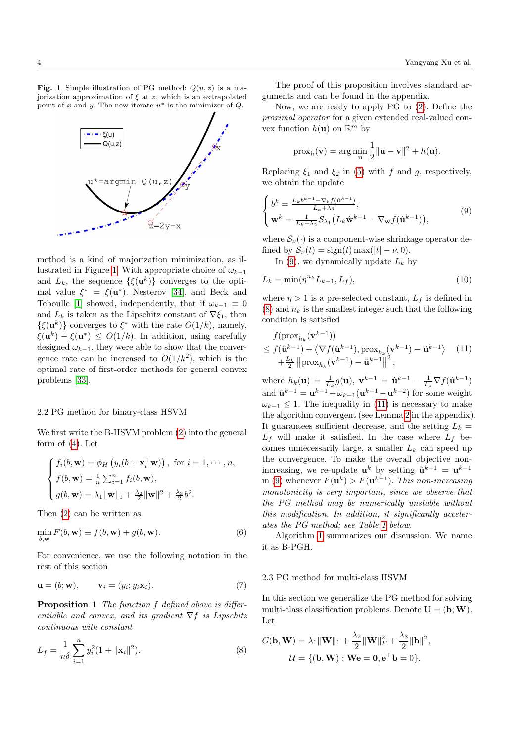<span id="page-3-0"></span>**Fig. 1** Simple illustration of PG method:  $Q(u, z)$  is a majorization approximation of  $\xi$  at z, which is an extrapolated point of x and y. The new iterate  $u^*$  is the minimizer of Q.



method is a kind of majorization minimization, as il-lustrated in Figure [1.](#page-3-0) With appropriate choice of  $\omega_{k-1}$ and  $L_k$ , the sequence  $\{\xi(\mathbf{u}^k)\}\)$  converges to the optimal value  $\xi^* = \xi(\mathbf{u}^*)$ . Nesterov [\[34\]](#page-15-8), and Beck and Teboulle [\[1\]](#page-15-9) showed, independently, that if  $\omega_{k-1} \equiv 0$ and  $L_k$  is taken as the Lipschitz constant of  $\nabla \xi_1$ , then  $\{\xi(\mathbf{u}^k)\}\)$  converges to  $\xi^*$  with the rate  $O(1/k)$ , namely,  $\xi(\mathbf{u}^k) - \xi(\mathbf{u}^*) \leq O(1/k)$ . In addition, using carefully designed  $\omega_{k-1}$ , they were able to show that the convergence rate can be increased to  $O(1/k^2)$ , which is the optimal rate of first-order methods for general convex problems [\[33\]](#page-15-22).

# 2.2 PG method for binary-class HSVM

We first write the B-HSVM problem [\(2\)](#page-2-0) into the general form of  $(4)$ . Let

$$
\begin{cases}\nf_i(b, \mathbf{w}) = \phi_H\left(y_i(b + \mathbf{x}_i^{\top}\mathbf{w})\right), \text{ for } i = 1, \dots, n, \\
f(b, \mathbf{w}) = \frac{1}{n} \sum_{i=1}^n f_i(b, \mathbf{w}), \\
g(b, \mathbf{w}) = \lambda_1 \|\mathbf{w}\|_1 + \frac{\lambda_2}{2} \|\mathbf{w}\|^2 + \frac{\lambda_3}{2} b^2.\n\end{cases}
$$

Then [\(2\)](#page-2-0) can be written as

$$
\min_{b,\mathbf{w}} F(b,\mathbf{w}) \equiv f(b,\mathbf{w}) + g(b,\mathbf{w}).
$$
\n(6)

<span id="page-3-6"></span>For convenience, we use the following notation in the rest of this section

$$
\mathbf{u} = (b; \mathbf{w}), \qquad \mathbf{v}_i = (y_i; y_i \mathbf{x}_i). \tag{7}
$$

<span id="page-3-5"></span>Proposition 1 The function f defined above is differentiable and convex, and its gradient  $\nabla f$  is Lipschitz continuous with constant

<span id="page-3-2"></span>
$$
L_f = \frac{1}{n\delta} \sum_{i=1}^{n} y_i^2 (1 + ||\mathbf{x}_i||^2).
$$
 (8)

The proof of this proposition involves standard arguments and can be found in the appendix.

Now, we are ready to apply PG to [\(2\)](#page-2-0). Define the proximal operator for a given extended real-valued convex function  $h(\mathbf{u})$  on  $\mathbb{R}^m$  by

<span id="page-3-1"></span>
$$
\operatorname{prox}_h(\mathbf{v}) = \arg\min_{\mathbf{u}} \frac{1}{2} \|\mathbf{u} - \mathbf{v}\|^2 + h(\mathbf{u}).
$$

Replacing  $\xi_1$  and  $\xi_2$  in [\(5\)](#page-2-5) with f and g, respectively, we obtain the update

$$
\begin{cases}\nb^k = \frac{L_k \hat{b}^{k-1} - \nabla_b f(\hat{\mathbf{u}}^{k-1})}{L_k + \lambda_3}, \\
\mathbf{w}^k = \frac{1}{L_k + \lambda_2} \mathcal{S}_{\lambda_1} \left( L_k \hat{\mathbf{w}}^{k-1} - \nabla_{\mathbf{w}} f(\hat{\mathbf{u}}^{k-1}) \right),\n\end{cases} \tag{9}
$$

where  $\mathcal{S}_{\nu}(\cdot)$  is a component-wise shrinkage operator defined by  $S_{\nu}(t) = sign(t) \max(|t| - \nu, 0)$ .

<span id="page-3-4"></span>In [\(9\)](#page-3-1), we dynamically update  $L_k$  by

$$
L_k = \min(\eta^{n_k} L_{k-1}, L_f),
$$
\n(10)

where  $\eta > 1$  is a pre-selected constant,  $L_f$  is defined in  $(8)$  and  $n_k$  is the smallest integer such that the following condition is satisfied

<span id="page-3-3"></span>
$$
f(\text{prox}_{h_k}(\mathbf{v}^{k-1}))
$$
  
\n
$$
\leq f(\hat{\mathbf{u}}^{k-1}) + \langle \nabla f(\hat{\mathbf{u}}^{k-1}), \text{prox}_{h_k}(\mathbf{v}^{k-1}) - \hat{\mathbf{u}}^{k-1} \rangle
$$
 (11)  
\n
$$
+ \frac{L_k}{2} ||\text{prox}_{h_k}(\mathbf{v}^{k-1}) - \hat{\mathbf{u}}^{k-1}||^2,
$$

where  $h_k(\mathbf{u}) = \frac{1}{L_k} g(\mathbf{u}), \mathbf{v}^{k-1} = \hat{\mathbf{u}}^{k-1} - \frac{1}{L_k} \nabla f(\hat{\mathbf{u}}^{k-1})$ and  $\hat{\mathbf{u}}^{k-1} = \mathbf{u}^{k-1} + \omega_{k-1}(\mathbf{u}^{k-1} - \mathbf{u}^{k-2})$  for some weight  $\omega_{k-1} \leq 1$ . The inequality in [\(11\)](#page-3-3) is necessary to make the algorithm convergent (see Lemma [2](#page-13-1) in the appendix). It guarantees sufficient decrease, and the setting  $L_k =$  $L_f$  will make it satisfied. In the case where  $L_f$  becomes unnecessarily large, a smaller  $L_k$  can speed up the convergence. To make the overall objective nonincreasing, we re-update  $\mathbf{u}^{k}$  by setting  $\hat{\mathbf{u}}^{k-1} = \mathbf{u}^{k-1}$ in [\(9\)](#page-3-1) whenever  $F(\mathbf{u}^k) > F(\mathbf{u}^{k-1})$ . This non-increasing monotonicity is very important, since we observe that the PG method may be numerically unstable without this modification. In addition, it significantly accelerates the PG method; see Table [1](#page-6-1) below.

Algorithm [1](#page-4-0) summarizes our discussion. We name it as B-PGH.

## 2.3 PG method for multi-class HSVM

In this section we generalize the PG method for solving multi-class classification problems. Denote  $\mathbf{U} = (\mathbf{b}; \mathbf{W})$ . Let

$$
G(\mathbf{b}, \mathbf{W}) = \lambda_1 \|\mathbf{W}\|_1 + \frac{\lambda_2}{2} \|\mathbf{W}\|_F^2 + \frac{\lambda_3}{2} \|\mathbf{b}\|^2,
$$
  

$$
\mathcal{U} = \{(\mathbf{b}, \mathbf{W}): \mathbf{W}\mathbf{e} = \mathbf{0}, \mathbf{e}^\top \mathbf{b} = 0\}.
$$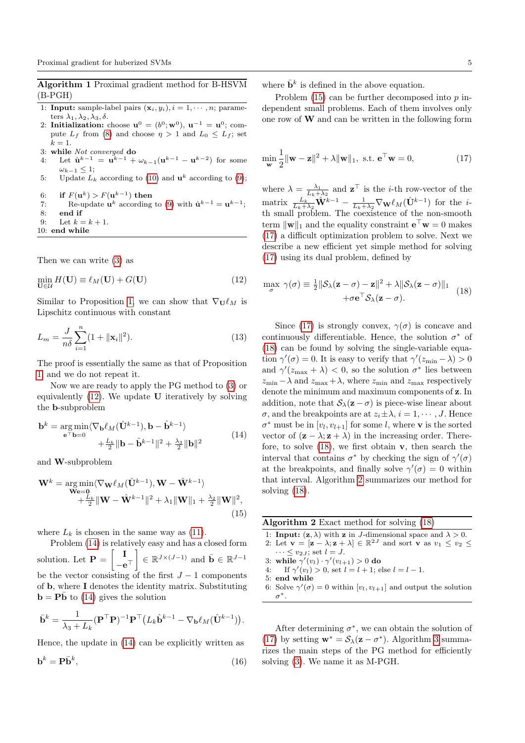<span id="page-4-0"></span>Algorithm 1 Proximal gradient method for B-HSVM (B-PGH)

- 1: **Input:** sample-label pairs  $(\mathbf{x}_i, y_i), i = 1, \dots, n$ ; parameters  $\lambda_1, \lambda_2, \lambda_3, \delta$ .
- 2: Initialization: choose  $\mathbf{u}^0 = (b^0; \mathbf{w}^0)$ ,  $\mathbf{u}^{-1} = \mathbf{u}^0$ ; compute  $L_f$  from [\(8\)](#page-3-2) and choose  $\eta > 1$  and  $L_0 \leq L_f$ ; set  $k=1$ .
- 3: while Not converged do 4: Let  $\hat{\mathbf{u}}^{k-1} = \mathbf{u}^{k-1} + \omega_{k-1}(\mathbf{u}^{k-1} - \mathbf{u}^{k-2})$  for some  $\omega_{k-1} \leq 1;$
- 5: Update  $L_k$  according to [\(10\)](#page-3-4) and  $\mathbf{u}^k$  according to [\(9\)](#page-3-1);
- 6: if  $F(\mathbf{u}^k) > F(\mathbf{u}^{k-1})$  then
- 7: Re-update  $\mathbf{u}^k$  according to [\(9\)](#page-3-1) with  $\hat{\mathbf{u}}^{k-1} = \mathbf{u}^{k-1}$ ; 8: end if
- 9: Let  $k = k + 1$ .
- 10: end while

<span id="page-4-1"></span>Then we can write [\(3\)](#page-2-1) as

$$
\min_{\mathbf{U}\in\mathcal{U}}H(\mathbf{U})\equiv\ell_M(\mathbf{U})+G(\mathbf{U})
$$
\n(12)

Similar to Proposition [1,](#page-3-5) we can show that  $\nabla_{\mathbf{U}} \ell_M$  is Lipschitz continuous with constant

$$
L_m = \frac{J}{n\delta} \sum_{i=1}^{n} (1 + ||\mathbf{x}_i||^2).
$$
 (13)

The proof is essentially the same as that of Proposition [1,](#page-3-5) and we do not repeat it.

Now we are ready to apply the PG method to [\(3\)](#page-2-1) or equivalently  $(12)$ . We update **U** iteratively by solving the b-subproblem

<span id="page-4-2"></span>
$$
\mathbf{b}^{k} = \underset{\mathbf{e}^{T} \mathbf{b} = 0}{\arg \min} \langle \nabla_{\mathbf{b}} \ell_{M} (\hat{\mathbf{U}}^{k-1}), \mathbf{b} - \hat{\mathbf{b}}^{k-1} \rangle
$$
  
 
$$
+ \frac{L_{k}}{2} \|\mathbf{b} - \hat{\mathbf{b}}^{k-1}\|^{2} + \frac{\lambda_{3}}{2} \|\mathbf{b}\|^{2}
$$
(14)

<span id="page-4-3"></span>and W-subproblem

$$
\mathbf{W}^{k} = \underset{\mathbf{W} \in \mathbf{D}}{\arg \min} \langle \nabla_{\mathbf{W}} \ell_{M} (\hat{\mathbf{U}}^{k-1}), \mathbf{W} - \hat{\mathbf{W}}^{k-1} \rangle \n+ \frac{L_{k}}{2} {\|\mathbf{W} - \hat{\mathbf{W}}^{k-1}\|^{2}} + \lambda_{1} {\|\mathbf{W}\|_{1}} + \frac{\lambda_{2}}{2} {\|\mathbf{W}\|^{2}},
$$
\n(15)

where  $L_k$  is chosen in the same way as [\(11\)](#page-3-3).

Problem [\(14\)](#page-4-2) is relatively easy and has a closed form solution. Let  $P = \begin{bmatrix} I \end{bmatrix}$  $-\mathbf{e}^\top$  $\Big] \in \mathbb{R}^{J \times (J-1)}$  and  $\bar{\mathbf{b}} \in \mathbb{R}^{J-1}$ 

be the vector consisting of the first  $J-1$  components of b, where I denotes the identity matrix. Substituting  $\mathbf{b} = \mathbf{P}\bar{\mathbf{b}}$  to [\(14\)](#page-4-2) gives the solution

$$
\bar{\mathbf{b}}^k = \frac{1}{\lambda_3 + L_k} (\mathbf{P}^\top \mathbf{P})^{-1} \mathbf{P}^\top (L_k \hat{\mathbf{b}}^{k-1} - \nabla_{\mathbf{b}} \ell_M (\hat{\mathbf{U}}^{k-1})).
$$

Hence, the update in [\(14\)](#page-4-2) can be explicitly written as

$$
\mathbf{b}^k = \mathbf{P}\bar{\mathbf{b}}^k,\tag{16}
$$

where  $\bar{\mathbf{b}}^k$  is defined in the above equation.

Problem  $(15)$  can be further decomposed into p independent small problems. Each of them involves only one row of W and can be written in the following form

<span id="page-4-4"></span>
$$
\min_{\mathbf{w}} \frac{1}{2} ||\mathbf{w} - \mathbf{z}||^2 + \lambda ||\mathbf{w}||_1, \text{ s.t. } \mathbf{e}^\top \mathbf{w} = 0,
$$
 (17)

where  $\lambda = \frac{\lambda_1}{L_k + \lambda_2}$  and  $\mathbf{z}^\top$  is the *i*-th row-vector of the matrix  $\frac{L_k}{L_k+\lambda_2}\hat{\mathbf{W}}^{k-1} - \frac{1}{L_k+\lambda_2}\nabla_{\mathbf{W}}\ell_M(\hat{\mathbf{U}}^{k-1})$  for the *i*th small problem. The coexistence of the non-smooth term  $\|\mathbf{w}\|_1$  and the equality constraint  $\mathbf{e}^\top \mathbf{w} = 0$  makes [\(17\)](#page-4-4) a difficult optimization problem to solve. Next we describe a new efficient yet simple method for solving [\(17\)](#page-4-4) using its dual problem, defined by

<span id="page-4-5"></span>
$$
\max_{\sigma} \gamma(\sigma) \equiv \frac{1}{2} \|\mathcal{S}_{\lambda}(\mathbf{z} - \sigma) - \mathbf{z}\|^2 + \lambda \|\mathcal{S}_{\lambda}(\mathbf{z} - \sigma)\|_1
$$
  
 
$$
+ \sigma \mathbf{e}^{\top} \mathcal{S}_{\lambda}(\mathbf{z} - \sigma).
$$
 (18)

<span id="page-4-7"></span>Since [\(17\)](#page-4-4) is strongly convex,  $\gamma(\sigma)$  is concave and continuously differentiable. Hence, the solution  $\sigma^*$  of [\(18\)](#page-4-5) can be found by solving the single-variable equation  $\gamma'(\sigma) = 0$ . It is easy to verify that  $\gamma'(z_{\min} - \lambda) > 0$ and  $\gamma'(z_{\text{max}} + \lambda) < 0$ , so the solution  $\sigma^*$  lies between  $z_{\min} - \lambda$  and  $z_{\max} + \lambda$ , where  $z_{\min}$  and  $z_{\max}$  respectively denote the minimum and maximum components of z. In addition, note that  $S_\lambda(\mathbf{z} - \sigma)$  is piece-wise linear about  $\sigma$ , and the breakpoints are at  $z_i \pm \lambda$ ,  $i = 1, \dots, J$ . Hence  $\sigma^*$  must be in  $[v_l, v_{l+1}]$  for some l, where **v** is the sorted vector of  $(\mathbf{z} - \lambda; \mathbf{z} + \lambda)$  in the increasing order. Therefore, to solve  $(18)$ , we first obtain **v**, then search the interval that contains  $\sigma^*$  by checking the sign of  $\gamma'(\sigma)$ at the breakpoints, and finally solve  $\gamma'(\sigma) = 0$  within that interval. Algorithm [2](#page-4-6) summarizes our method for solving [\(18\)](#page-4-5).

<span id="page-4-6"></span>

| Algorithm $2$ Exact method for solving $(18)$ |  |
|-----------------------------------------------|--|
|-----------------------------------------------|--|

- 1: **Input:**  $(z, \lambda)$  with z in J-dimensional space and  $\lambda > 0$ . 2: Let  $\mathbf{v} = [\mathbf{z} - \lambda; \mathbf{z} + \lambda] \in \mathbb{R}^{2J}$  and sort  $\mathbf{v}$  as  $v_1 \le v_2 \le$  $\cdots \le v_{2J}$ ; set  $l = J$ .
- 3: while  $\gamma'(v_l) \cdot \gamma'(v_{l+1}) > 0$  do
- 4: If  $\gamma'(v_l) > 0$ , set  $l = l + 1$ ; else  $l = l 1$ .
- 5: end while
- 6: Solve  $\gamma'(\sigma) = 0$  within  $[v_l, v_{l+1}]$  and output the solution σ ∗.

<span id="page-4-8"></span>After determining  $\sigma^*$ , we can obtain the solution of [\(17\)](#page-4-4) by setting  $\mathbf{w}^* = \mathcal{S}_{\lambda}(\mathbf{z} - \sigma^*)$ . Algorithm [3](#page-5-0) summarizes the main steps of the PG method for efficiently solving [\(3\)](#page-2-1). We name it as M-PGH.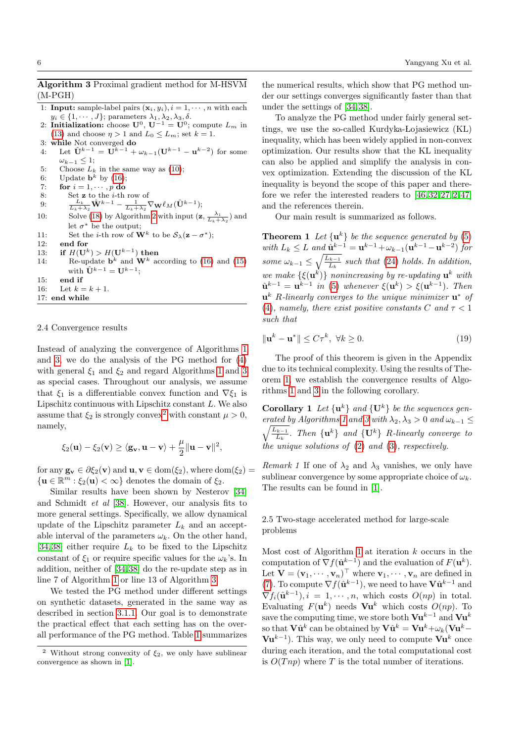# <span id="page-5-0"></span>Algorithm 3 Proximal gradient method for M-HSVM (M-PGH)

- 1: **Input:** sample-label pairs  $(\mathbf{x}_i, y_i)$ ,  $i = 1, \dots, n$  with each  $y_i \in \{1, \cdots, J\}$ ; parameters  $\lambda_1, \lambda_2, \lambda_3, \delta$ .
- 2: Initialization: choose  $\mathbf{U}^0$ ,  $\mathbf{U}^{-1} = \mathbf{U}^0$ ; compute  $L_m$  in [\(13\)](#page-4-7) and choose  $\eta > 1$  and  $L_0 \le L_m$ ; set  $k = 1$ . 3: while Not converged do
- 4: Let  $\hat{\mathbf{U}}^{k-1} = \tilde{\mathbf{U}}^{k-1} + \omega_{k-1}(\mathbf{U}^{k-1} \mathbf{u}^{k-2})$  for some  $\omega_{k-1} \leq 1$ ;
- 5: Choose  $L_k$  in the same way as [\(10\)](#page-3-4);
- 6: Update  $\mathbf{b}^k$  by [\(16\)](#page-4-8);
- 7: for  $i = 1, \dots, p$  do
- 8: Set **z** to the *i*-th row of
- 9:  $\frac{L_k}{L_k + \lambda_2} \mathbf{\hat{W}}^{k-1} \frac{1}{L_k + \lambda_2} \nabla_{\mathbf{W}} \ell_M(\mathbf{\hat{U}}^{k-1});$
- 10: Solve [\(18\)](#page-4-5) by Algorithm [2](#page-4-6) with input  $(\mathbf{z}, \frac{\lambda_1}{L_k + \lambda_2})$  and let  $\sigma^*$  be the output;
- 11: Set the *i*-th row of **W**<sup>k</sup> to be  $S_{\lambda}(\mathbf{z} \sigma^*)$ ;
- 12: end for
- 13: if  $H(U^k) > H(U^{k-1})$  then 14: Re-update  $\mathbf{b}^k$  and  $\mathbf{W}^k$  according to [\(16\)](#page-4-8) and [\(15\)](#page-4-3) with  $\hat{\mathbf{U}}^{k-1} = \mathbf{U}^{k-1}$ ;
- 15: end if
- 16: Let  $k = k + 1$ .
- 17: end while

#### 2.4 Convergence results

Instead of analyzing the convergence of Algorithms [1](#page-4-0) and [3,](#page-5-0) we do the analysis of the PG method for [\(4\)](#page-2-4) with general  $\xi_1$  and  $\xi_2$  and regard Algorithms [1](#page-4-0) and [3](#page-5-0) as special cases. Throughout our analysis, we assume that  $\xi_1$  is a differentiable convex function and  $\nabla \xi_1$  is Lipschitz continuous with Lipschitz constant L. We also assume that  $\xi_2$  $\xi_2$  is strongly convex<sup>2</sup> with constant  $\mu > 0$ , namely,

$$
\xi_2(\mathbf{u}) - \xi_2(\mathbf{v}) \geq \langle \mathbf{g}_\mathbf{v}, \mathbf{u} - \mathbf{v} \rangle + \frac{\mu}{2} \|\mathbf{u} - \mathbf{v}\|^2,
$$

for any  $\mathbf{g}_{\mathbf{v}} \in \partial \xi_2(\mathbf{v})$  and  $\mathbf{u}, \mathbf{v} \in \text{dom}(\xi_2)$ , where  $\text{dom}(\xi_2) =$  $\{ \mathbf{u} \in \mathbb{R}^m : \xi_2(\mathbf{u}) < \infty \}$  denotes the domain of  $\xi_2$ .

Similar results have been shown by Nesterov [\[34\]](#page-15-8) and Schmidt et al [\[38\]](#page-16-9). However, our analysis fits to more general settings. Specifically, we allow dynamical update of the Lipschitz parameter  $L_k$  and an acceptable interval of the parameters  $\omega_k$ . On the other hand, [\[34,](#page-15-8) [38\]](#page-16-9) either require  $L_k$  to be fixed to the Lipschitz constant of  $\xi_1$  or require specific values for the  $\omega_k$ 's. In addition, neither of [\[34,](#page-15-8) [38\]](#page-16-9) do the re-update step as in line 7 of Algorithm [1](#page-4-0) or line 13 of Algorithm [3.](#page-5-0)

We tested the PG method under different settings on synthetic datasets, generated in the same way as described in section [3.1.1.](#page-7-0) Our goal is to demonstrate the practical effect that each setting has on the overall performance of the PG method. Table [1](#page-6-1) summarizes

the numerical results, which show that PG method under our settings converges significantly faster than that under the settings of [\[34,](#page-15-8) [38\]](#page-16-9).

To analyze the PG method under fairly general settings, we use the so-called Kurdyka-Lojasiewicz (KL) inequality, which has been widely applied in non-convex optimization. Our results show that the KL inequality can also be applied and simplify the analysis in convex optimization. Extending the discussion of the KL inequality is beyond the scope of this paper and therefore we refer the interested readers to [\[46,](#page-16-10) [32,](#page-15-23) [27,](#page-15-24) [2,](#page-15-25) [47\]](#page-16-11) and the references therein.

Our main result is summarized as follows.

<span id="page-5-2"></span>**Theorem 1** Let  $\{u^k\}$  be the sequence generated by [\(5\)](#page-2-5) with  $L_k \leq L$  and  $\hat{\mathbf{u}}^{k-1} = \mathbf{u}^{k-1} + \omega_{k-1}(\mathbf{u}^{k-1} - \mathbf{u}^{k-2})$  for some  $\omega_{k-1} \leq \sqrt{\frac{L_{k-1}}{L_k}}$  such that [\(24\)](#page-13-2) holds. In addition, we make  $\{\xi(\mathbf{u}^k)\}\$  nonincreasing by re-updating  $\mathbf{u}^k$  with  $\hat{\mathbf{u}}^{k-1} = \mathbf{u}^{k-1}$  in [\(5\)](#page-2-5) whenever  $\xi(\mathbf{u}^k) > \xi(\mathbf{u}^{k-1})$ . Then  $\mathbf{u}^k$  R-linearly converges to the unique minimizer  $\mathbf{u}^*$  of [\(4\)](#page-2-4), namely, there exist positive constants C and  $\tau < 1$ such that

<span id="page-5-4"></span>
$$
\|\mathbf{u}^k - \mathbf{u}^*\| \le C\tau^k, \ \forall k \ge 0. \tag{19}
$$

The proof of this theorem is given in the Appendix due to its technical complexity. Using the results of Theorem [1,](#page-5-2) we establish the convergence results of Algorithms [1](#page-4-0) and [3](#page-5-0) in the following corollary.

**Corollary 1** Let  $\{u^k\}$  and  $\{U^k\}$  be the sequences gen- $\sqrt{L_{k-1}}$ erated by Algorithms [1](#page-4-0) and [3](#page-5-0) with  $\lambda_2, \lambda_3 > 0$  and  $\omega_{k-1} \leq$  $\frac{1}{L_k}$ . Then  $\{u^k\}$  and  $\{U^k\}$  R-linearly converge to the unique solutions of [\(2\)](#page-2-0) and [\(3\)](#page-2-1), respectively.

Remark 1 If one of  $\lambda_2$  and  $\lambda_3$  vanishes, we only have sublinear convergence by some appropriate choice of  $\omega_k$ . The results can be found in [\[1\]](#page-15-9).

# <span id="page-5-3"></span>2.5 Two-stage accelerated method for large-scale problems

Most cost of Algorithm [1](#page-4-0) at iteration  $k$  occurs in the computation of  $\nabla f(\hat{\mathbf{u}}^{k-1})$  and the evaluation of  $F(\mathbf{u}^k)$ . Let  $\mathbf{V} = (\mathbf{v}_1, \dots, \mathbf{v}_n)^\top$  where  $\mathbf{v}_1, \dots, \mathbf{v}_n$  are defined in [\(7\)](#page-3-6). To compute  $\nabla f(\hat{\mathbf{u}}^{k-1})$ , we need to have  $\mathbf{V}\hat{\mathbf{u}}^{k-1}$  and  $\nabla f_i(\hat{\mathbf{u}}^{k-1}), i = 1, \cdots, n$ , which costs  $O(np)$  in total. Evaluating  $F(\mathbf{u}^k)$  needs  $\mathbf{V}\mathbf{u}^k$  which costs  $O(np)$ . To save the computing time, we store both  $\mathbf{Vu}^{k-1}$  and  $\mathbf{Vu}^k$ so that  ${\bf V}\hat{\bf u}^k$  can be obtained by  ${\bf V}\hat{\bf u}^k={\bf V}{\bf u}^k+\omega_k({\bf V}{\bf u}^k \mathbf{Vu}^{k-1}$ ). This way, we only need to compute  $\mathbf{Vu}^k$  once during each iteration, and the total computational cost is  $O(Tnp)$  where T is the total number of iterations.

<span id="page-5-1"></span><sup>&</sup>lt;sup>2</sup> Without strong convexity of  $\xi_2$ , we only have sublinear convergence as shown in [\[1\]](#page-15-9).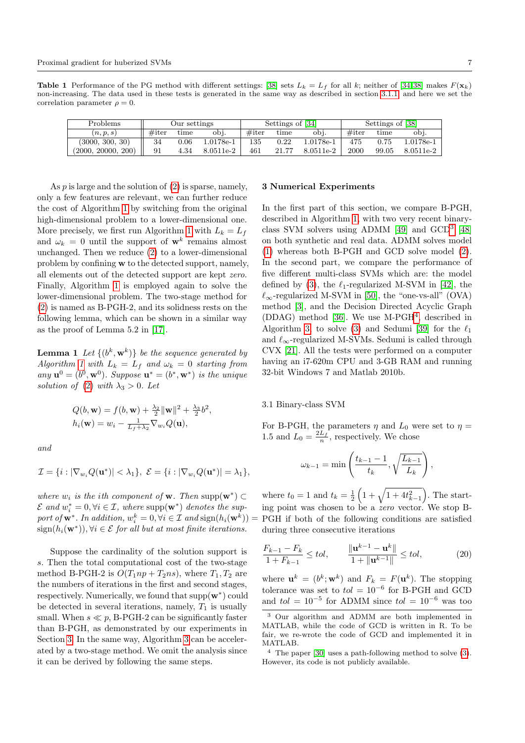<span id="page-6-1"></span>**Table 1** Performance of the PG method with different settings: [\[38\]](#page-16-9) sets  $L_k = L_f$  for all k; neither of [\[34,](#page-15-8)[38\]](#page-16-9) makes  $F(\mathbf{x}_k)$ non-increasing. The data used in these tests is generated in the same way as described in section [3.1.1,](#page-7-0) and here we set the correlation parameter  $\rho = 0$ .

| Problems           | Our settings |      |           |          | Settings of [34] |                   |          | Settings of [38] |             |  |
|--------------------|--------------|------|-----------|----------|------------------|-------------------|----------|------------------|-------------|--|
| (n, p, s)          | $#$ iter     | time | obj.      | $#$ iter | time             | obj.              | $#$ iter | time             | obi         |  |
| (3000, 300, 30)    | 34           | 0.06 | 1.0178e-1 | 135      | 0.22             | $1.0178$ e- $1\,$ | 475      | 0.75             | $1.0178e-1$ |  |
| (2000, 20000, 200) | 91           | 4.34 | 8.0511e-2 | 461      | 21.77            | 8.0511e-2         | 2000     | 99.05            | 8.0511e-2   |  |

As  $p$  is large and the solution of  $(2)$  is sparse, namely, only a few features are relevant, we can further reduce the cost of Algorithm [1](#page-4-0) by switching from the original high-dimensional problem to a lower-dimensional one. More precisely, we first run Algorithm [1](#page-4-0) with  $L_k = L_f$ and  $\omega_k = 0$  until the support of  $\mathbf{w}^k$  remains almost unchanged. Then we reduce [\(2\)](#page-2-0) to a lower-dimensional problem by confining w to the detected support, namely, all elements out of the detected support are kept zero. Finally, Algorithm [1](#page-4-0) is employed again to solve the lower-dimensional problem. The two-stage method for [\(2\)](#page-2-0) is named as B-PGH-2, and its solidness rests on the following lemma, which can be shown in a similar way as the proof of Lemma 5.2 in [\[17\]](#page-15-26).

**Lemma 1** Let  $\{(b^k, \mathbf{w}^k)\}\)$  be the sequence generated by Algorithm [1](#page-4-0) with  $L_k = L_f$  and  $\omega_k = 0$  starting from any  $\mathbf{u}^0 = (b^0, \mathbf{w}^0)$ . Suppose  $\mathbf{u}^* = (b^*, \mathbf{w}^*)$  is the unique solution of [\(2\)](#page-2-0) with  $\lambda_3 > 0$ . Let

$$
Q(b, \mathbf{w}) = f(b, \mathbf{w}) + \frac{\lambda_2}{2} ||\mathbf{w}||^2 + \frac{\lambda_3}{2} b^2,
$$
  

$$
h_i(\mathbf{w}) = w_i - \frac{1}{L_f + \lambda_2} \nabla_{w_i} Q(\mathbf{u}),
$$

and

$$
\mathcal{I} = \{i : |\nabla_{w_i} Q(\mathbf{u}^*)| < \lambda_1\}, \ \mathcal{E} = \{i : |\nabla_{w_i} Q(\mathbf{u}^*)| = \lambda_1\},
$$

where  $w_i$  is the ith component of **w**. Then supp $(\mathbf{w}^*) \subset$  $\mathcal{E}$  and  $w_i^* = 0, \forall i \in \mathcal{I}$ , where supp $(\mathbf{w}^*)$  denotes the support of  $\mathbf{w}^*$ . In addition,  $w_i^k = 0$ ,  $\forall i \in \mathcal{I}$  and  $\text{sign}(h_i(\mathbf{w}^k)) = \text{PGH}$  if both of the following conditions are satisfied  $sign(h_i(\mathbf{w}^*)), \forall i \in \mathcal{E}$  for all but at most finite iterations.

Suppose the cardinality of the solution support is s. Then the total computational cost of the two-stage method B-PGH-2 is  $O(T_1np + T_2ns)$ , where  $T_1, T_2$  are the numbers of iterations in the first and second stages, respectively. Numerically, we found that  $\text{supp}(\mathbf{w}^*)$  could be detected in several iterations, namely,  $T_1$  is usually small. When  $s \ll p$ , B-PGH-2 can be significantly faster than B-PGH, as demonstrated by our experiments in Section [3.](#page-6-0) In the same way, Algorithm [3](#page-5-0) can be accelerated by a two-stage method. We omit the analysis since it can be derived by following the same steps.

#### <span id="page-6-0"></span>3 Numerical Experiments

In the first part of this section, we compare B-PGH, described in Algorithm [1,](#page-4-0) with two very recent binaryclass SVM solvers using ADMM [\[49\]](#page-16-12) and GCD[3](#page-6-2) [\[48\]](#page-16-4) on both synthetic and real data. ADMM solves model [\(1\)](#page-1-1) whereas both B-PGH and GCD solve model [\(2\)](#page-2-0). In the second part, we compare the performance of five different multi-class SVMs which are: the model defined by [\(3\)](#page-2-1), the  $\ell_1$ -regularized M-SVM in [\[42\]](#page-16-5), the  $\ell_{\infty}$ -regularized M-SVM in [\[50\]](#page-16-6), the "one-vs-all" (OVA) method [\[3\]](#page-15-4), and the Decision Directed Acyclic Graph (DDAG) method [\[36\]](#page-15-6). We use M-PGH<sup>[4](#page-6-3)</sup>, described in Algorithm [3,](#page-5-0) to solve [\(3\)](#page-2-1) and Sedumi [\[39\]](#page-16-13) for the  $\ell_1$ and  $\ell_{\infty}$ -regularized M-SVMs. Sedumi is called through CVX [\[21\]](#page-15-27). All the tests were performed on a computer having an i7-620m CPU and 3-GB RAM and running 32-bit Windows 7 and Matlab 2010b.

#### 3.1 Binary-class SVM

For B-PGH, the parameters  $\eta$  and  $L_0$  were set to  $\eta =$ 1.5 and  $L_0 = \frac{2L_f}{n}$ , respectively. We chose

$$
\omega_{k-1} = \min\left(\frac{t_{k-1} - 1}{t_k}, \sqrt{\frac{L_{k-1}}{L_k}}\right),\,
$$

where  $t_0 = 1$  and  $t_k = \frac{1}{2} \left( 1 + \sqrt{1 + 4t_{k-1}^2} \right)$ . The starting point was chosen to be a zero vector. We stop Bduring three consecutive iterations

$$
\frac{F_{k-1} - F_k}{1 + F_{k-1}} \le tol, \qquad \frac{\|\mathbf{u}^{k-1} - \mathbf{u}^k\|}{1 + \|\mathbf{u}^{k-1}\|} \le tol,
$$
\n(20)

where  $\mathbf{u}^k = (b^k; \mathbf{w}^k)$  and  $F_k = F(\mathbf{u}^k)$ . The stopping tolerance was set to  $tol = 10^{-6}$  for B-PGH and GCD and  $tol = 10^{-5}$  for ADMM since  $tol = 10^{-6}$  was too

<span id="page-6-2"></span><sup>3</sup> Our algorithm and ADMM are both implemented in MATLAB, while the code of GCD is written in R. To be fair, we re-wrote the code of GCD and implemented it in MATLAB.

<span id="page-6-3"></span><sup>4</sup> The paper [\[30\]](#page-15-11) uses a path-following method to solve [\(3\)](#page-2-1). However, its code is not publicly available.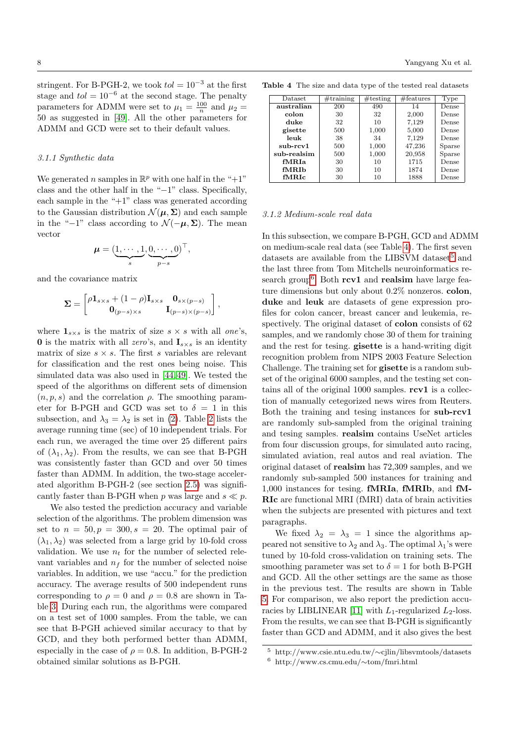stringent. For B-PGH-2, we took  $tol = 10^{-3}$  at the first stage and  $tol = 10^{-6}$  at the second stage. The penalty parameters for ADMM were set to  $\mu_1 = \frac{100}{n}$  and  $\mu_2 =$ 50 as suggested in [\[49\]](#page-16-12). All the other parameters for ADMM and GCD were set to their default values.

### <span id="page-7-0"></span>3.1.1 Synthetic data

We generated *n* samples in  $\mathbb{R}^p$  with one half in the "+1" class and the other half in the "−1" class. Specifically, each sample in the " $+1$ " class was generated according to the Gaussian distribution  $\mathcal{N}(\mu, \Sigma)$  and each sample in the "−1" class according to  $\mathcal{N}(-\mu, \Sigma)$ . The mean vector

$$
\boldsymbol{\mu} = (\underbrace{1, \cdots, 1}_{s}, \underbrace{0, \cdots, 0}_{p-s})^{\top},
$$

and the covariance matrix

$$
\mathbf{\Sigma} = \begin{bmatrix} \rho \mathbf{1}_{s \times s} + (1 - \rho) \mathbf{I}_{s \times s} & \mathbf{0}_{s \times (p - s)} \\ \mathbf{0}_{(p - s) \times s} & \mathbf{I}_{(p - s) \times (p - s)} \end{bmatrix},
$$

where  $\mathbf{1}_{s\times s}$  is the matrix of size  $s \times s$  with all one's, **0** is the matrix with all zero's, and  $\mathbf{I}_{s \times s}$  is an identity matrix of size  $s \times s$ . The first s variables are relevant for classification and the rest ones being noise. This simulated data was also used in [\[44,](#page-16-0) [49\]](#page-16-12). We tested the speed of the algorithms on different sets of dimension  $(n, p, s)$  and the correlation  $\rho$ . The smoothing parameter for B-PGH and GCD was set to  $\delta = 1$  in this subsection, and  $\lambda_3 = \lambda_2$  is set in [\(2\)](#page-2-0). Table [2](#page-8-0) lists the average running time (sec) of 10 independent trials. For each run, we averaged the time over 25 different pairs of  $(\lambda_1, \lambda_2)$ . From the results, we can see that B-PGH was consistently faster than GCD and over 50 times faster than ADMM. In addition, the two-stage accelerated algorithm B-PGH-2 (see section [2.5\)](#page-5-3) was significantly faster than B-PGH when p was large and  $s \ll p$ .

We also tested the prediction accuracy and variable selection of the algorithms. The problem dimension was set to  $n = 50, p = 300, s = 20$ . The optimal pair of  $(\lambda_1, \lambda_2)$  was selected from a large grid by 10-fold cross validation. We use  $n_t$  for the number of selected relevant variables and  $n_f$  for the number of selected noise variables. In addition, we use "accu." for the prediction accuracy. The average results of 500 independent runs corresponding to  $\rho = 0$  and  $\rho = 0.8$  are shown in Table [3.](#page-8-1) During each run, the algorithms were compared on a test set of 1000 samples. From the table, we can see that B-PGH achieved similar accuracy to that by GCD, and they both performed better than ADMM, especially in the case of  $\rho = 0.8$ . In addition, B-PGH-2 obtained similar solutions as B-PGH.

Table 4 The size and data type of the tested real datasets

<span id="page-7-1"></span>

| Dataset     | #training | $\#$ testing | $# \text{features}$ | Type   |
|-------------|-----------|--------------|---------------------|--------|
|             |           |              |                     |        |
| australian  | 200       | 490          | 14                  | Dense  |
| colon       | 30        | 32           | 2,000               | Dense  |
| duke        | 32        | 10           | 7,129               | Dense  |
| gisette     | 500       | 1,000        | 5,000               | Dense  |
| leuk        | 38        | 34           | 7,129               | Dense  |
| sub-rcv1    | 500       | 1,000        | 47,236              | Sparse |
| sub-realsim | 500       | 1,000        | 20,958              | Sparse |
| fMRJa       | 30        | 10           | 1715                | Dense  |
| fMRIb       | 30        | 10           | 1874                | Dense  |
| fMRIc       | 30        | 10           | 1888                | Dense  |

#### <span id="page-7-4"></span>3.1.2 Medium-scale real data

In this subsection, we compare B-PGH, GCD and ADMM on medium-scale real data (see Table [4\)](#page-7-1). The first seven datasets are available from the LIBSVM dataset<sup>[5](#page-7-2)</sup> and the last three from Tom Mitchells neuroinformatics re-search group<sup>[6](#page-7-3)</sup>. Both  $rev1$  and realsim have large feature dimensions but only about 0.2% nonzeros. colon, duke and leuk are datasets of gene expression profiles for colon cancer, breast cancer and leukemia, respectively. The original dataset of **colon** consists of 62 samples, and we randomly chose 30 of them for training and the rest for tesing. gisette is a hand-writing digit recognition problem from NIPS 2003 Feature Selection Challenge. The training set for gisette is a random subset of the original 6000 samples, and the testing set contains all of the original  $1000$  samples.  $\text{rcv1}$  is a collection of manually cetegorized news wires from Reuters. Both the training and tesing instances for sub-rcv1 are randomly sub-sampled from the original training and tesing samples. realsim contains UseNet articles from four discussion groups, for simulated auto racing, simulated aviation, real autos and real aviation. The original dataset of realsim has 72,309 samples, and we randomly sub-sampled 500 instances for training and 1,000 instances for tesing. fMRIa, fMRIb, and fM-RIc are functional MRI (fMRI) data of brain activities when the subjects are presented with pictures and text paragraphs.

We fixed  $\lambda_2 = \lambda_3 = 1$  since the algorithms appeared not sensitive to  $\lambda_2$  and  $\lambda_3$ . The optimal  $\lambda_1$ 's were tuned by 10-fold cross-validation on training sets. The smoothing parameter was set to  $\delta = 1$  for both B-PGH and GCD. All the other settings are the same as those in the previous test. The results are shown in Table [5.](#page-9-0) For comparison, we also report the prediction accu-racies by LIBLINEAR [\[11\]](#page-15-28) with  $L_1$ -regularized  $L_2$ -loss. From the results, we can see that B-PGH is significantly faster than GCD and ADMM, and it also gives the best

<span id="page-7-3"></span><span id="page-7-2"></span><sup>5</sup> http://www.csie.ntu.edu.tw/∼cjlin/libsvmtools/datasets <sup>6</sup> http://www.cs.cmu.edu/∼tom/fmri.html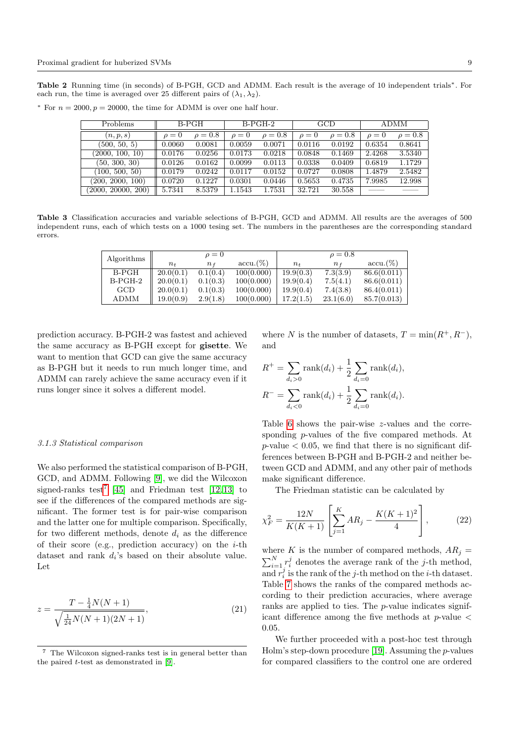<span id="page-8-0"></span>Table 2 Running time (in seconds) of B-PGH, GCD and ADMM. Each result is the average of 10 independent trials<sup>∗</sup>. For each run, the time is averaged over 25 different pairs of  $(\lambda_1, \lambda_2)$ .

 $*$  For  $n = 2000, p = 20000$ , the time for ADMM is over one half hour.

| Problems           | B-PGH    |              |            | $B-PGH-2$    |            | GCD          |            | <b>ADMM</b>  |  |
|--------------------|----------|--------------|------------|--------------|------------|--------------|------------|--------------|--|
| (n, p, s)          | $\rho=0$ | $\rho = 0.8$ | $\rho = 0$ | $\rho = 0.8$ | $\rho = 0$ | $\rho = 0.8$ | $\rho = 0$ | $\rho = 0.8$ |  |
| (500, 50, 5)       | 0.0060   | 0.0081       | 0.0059     | 0.0071       | 0.0116     | 0.0192       | 0.6354     | 0.8641       |  |
| (2000, 100, 10)    | 0.0176   | 0.0256       | 0.0173     | 0.0218       | 0.0848     | 0.1469       | 2.4268     | 3.5340       |  |
| (50, 300, 30)      | 0.0126   | 0.0162       | 0.0099     | 0.0113       | 0.0338     | 0.0409       | 0.6819     | 1.1729       |  |
| (100, 500, 50)     | 0.0179   | 0.0242       | 0.0117     | 0.0152       | 0.0727     | 0.0808       | 1.4879     | 2.5482       |  |
| (200, 2000, 100)   | 0.0720   | 0.1227       | 0.0301     | 0.0446       | 0.5653     | 0.4735       | 7.9985     | 12.998       |  |
| (2000, 20000, 200) | 5.7341   | 8.5379       | 1.1543     | 1.7531       | 32.721     | 30.558       |            |              |  |

<span id="page-8-1"></span>Table 3 Classification accuracies and variable selections of B-PGH, GCD and ADMM. All results are the averages of 500 independent runs, each of which tests on a 1000 tesing set. The numbers in the parentheses are the corresponding standard errors.

| Algorithms |                                | $\rho = 0$ |             |           | $\rho = 0.8$ |              |
|------------|--------------------------------|------------|-------------|-----------|--------------|--------------|
|            | $n_{\rm \scriptscriptstyle L}$ | $n_{f}$    | $accu.(\%)$ | $n_{t}$   | Пf           | $accu. (\%)$ |
| B-PGH      | 20.0(0.1)                      | 0.1(0.4)   | 100(0.000)  | 19.9(0.3) | 7.3(3.9)     | 86.6(0.011)  |
| $B-PGH-2$  | 20.0(0.1)                      | 0.1(0.3)   | 100(0.000)  | 19.9(0.4) | 7.5(4.1)     | 86.6(0.011)  |
| GCD        | 20.0(0.1)                      | 0.1(0.3)   | 100(0.000)  | 19.9(0.4) | 7.4(3.8)     | 86.4(0.011)  |
| ADMM       | 19.0(0.9)                      | 2.9(1.8)   | 100(0.000)  | 17.2(1.5) | 23.1(6.0)    | 85.7(0.013)  |

prediction accuracy. B-PGH-2 was fastest and achieved the same accuracy as B-PGH except for gisette. We want to mention that GCD can give the same accuracy as B-PGH but it needs to run much longer time, and ADMM can rarely achieve the same accuracy even if it runs longer since it solves a different model.

#### <span id="page-8-3"></span>3.1.3 Statistical comparison

We also performed the statistical comparison of B-PGH, GCD, and ADMM. Following [\[9\]](#page-15-29), we did the Wilcoxon signed-ranks test<sup>[7](#page-8-2)</sup> [\[45\]](#page-16-14) and Friedman test [\[12,](#page-15-30)13] to see if the differences of the compared methods are significant. The former test is for pair-wise comparison and the latter one for multiple comparison. Specifically, for two different methods, denote  $d_i$  as the difference of their score (e.g., prediction accuracy) on the  $i$ -th dataset and rank  $d_i$ 's based on their absolute value. Let

$$
z = \frac{T - \frac{1}{4}N(N+1)}{\sqrt{\frac{1}{24}N(N+1)(2N+1)}},\tag{21}
$$

where N is the number of datasets,  $T = \min(R^+, R^-)$ , and

$$
R^{+} = \sum_{d_i > 0} \text{rank}(d_i) + \frac{1}{2} \sum_{d_i = 0} \text{rank}(d_i),
$$
  

$$
R^{-} = \sum_{d_i < 0} \text{rank}(d_i) + \frac{1}{2} \sum_{d_i = 0} \text{rank}(d_i).
$$

Table [6](#page-9-1) shows the pair-wise z-values and the corresponding p-values of the five compared methods. At  $p$ -value  $\lt$  0.05, we find that there is no significant differences between B-PGH and B-PGH-2 and neither between GCD and ADMM, and any other pair of methods make significant difference.

The Friedman statistic can be calculated by

$$
\chi_F^2 = \frac{12N}{K(K+1)} \left[ \sum_{j=1}^K AR_j - \frac{K(K+1)^2}{4} \right],\tag{22}
$$

where K is the number of compared methods,  $AR_j =$  $\sum_{i=1}^{N} r_i^j$  denotes the average rank of the *j*-th method, and  $r_i^j$  is the rank of the j-th method on the *i*-th dataset. Table [7](#page-9-2) shows the ranks of the compared methods according to their prediction accuracies, where average ranks are applied to ties. The p-value indicates significant difference among the five methods at  $p$ -value  $\lt$ 0.05.

We further proceeded with a post-hoc test through Holm's step-down procedure [\[19\]](#page-15-32). Assuming the  $p$ -values for compared classifiers to the control one are ordered

<span id="page-8-2"></span><sup>7</sup> The Wilcoxon signed-ranks test is in general better than the paired t-test as demonstrated in [\[9\]](#page-15-29).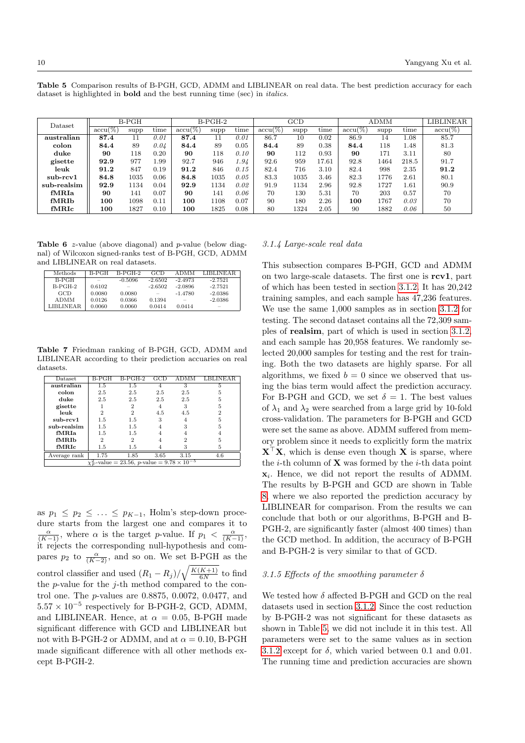<span id="page-9-0"></span>Table 5 Comparison results of B-PGH, GCD, ADMM and LIBLINEAR on real data. The best prediction accuracy for each dataset is highlighted in **bold** and the best running time (sec) in *italics*.

| $\rm{Dataset}$ |            | $B-PGH$ |      |            | $B-PGH-2$ |      |                              | GCD  |       |                              | <b>ADMM</b> |          | LIBLINEAR  |
|----------------|------------|---------|------|------------|-----------|------|------------------------------|------|-------|------------------------------|-------------|----------|------------|
|                | $accu(\%)$ | supp    | time | $accu(\%)$ | supp      | time | $\overline{\text{accu}(\%)}$ | supp | time  | $\overline{\text{accu}(\%)}$ | supp        | time     | $accu(\%)$ |
| australian     | 87.4       | 11      | 0.01 | 87.4       |           | 0.01 | 86.7                         | 10   | 0.02  | 86.9                         | 14          | 1.08     | 85.7       |
| colon          | 84.4       | 89      | 0.04 | 84.4       | 89        | 0.05 | 84.4                         | 89   | 0.38  | 84.4                         | 118         | 1.48     | 81.3       |
| duke           | 90         | 118     | 0.20 | 90         | 118       | 0.10 | 90                           | 112  | 0.93  | 90                           | 171         | 3.11     | 80         |
| gisette        | 92.9       | 977     | 1.99 | 92.7       | 946       | 1.94 | 92.6                         | 959  | 17.61 | 92.8                         | 1464        | 218.5    | 91.7       |
| leuk           | 91.2       | 847     | 0.19 | 91.2       | 846       | 0.15 | 82.4                         | 716  | 3.10  | 82.4                         | 998         | 2.35     | 91.2       |
| $sub-rcv1$     | 84.8       | 1035    | 0.06 | 84.8       | 1035      | 0.05 | 83.3                         | 1035 | 3.46  | 82.3                         | 1776        | 2.61     | 80.1       |
| sub-realsim    | 92.9       | 1134    | 0.04 | 92.9       | 1134      | 0.02 | 91.9                         | 1134 | 2.96  | 92.8                         | 1727        | $1.61\,$ | 90.9       |
| fMRIa          | 90         | 141     | 0.07 | 90         | 141       | 0.06 | 70                           | 130  | 5.31  | 70                           | 203         | 0.57     | 70         |
| fMRIb          | 100        | 1098    | 0.11 | 100        | 1108      | 0.07 | 90                           | 180  | 2.26  | 100                          | 1767        | 0.03     | 70         |
| fMRIc          | 100        | 1827    | 0.10 | 100        | 1825      | 0.08 | 80                           | 1324 | 2.05  | 90                           | 1882        | 0.06     | 50         |

<span id="page-9-1"></span>**Table 6**  $z$ -value (above diagonal) and  $p$ -value (below diagnal) of Wilcoxon signed-ranks test of B-PGH, GCD, ADMM and LIBLINEAR on real datasets.

| Methods     | B-PGH  | $B-PGH-2$ | GCD       | <b>ADMM</b> | LIBLINEAR. |
|-------------|--------|-----------|-----------|-------------|------------|
| B-PGH       |        | $-0.5096$ | $-2.6502$ | $-2.4973$   | $-2.7521$  |
| $B-PGH-2$   | 0.6102 | $-$       | $-2.6502$ | $-2.0896$   | $-2.7521$  |
| GCD         | 0.0080 | 0.0080    |           | $-1.4780$   | $-2.0386$  |
| <b>ADMM</b> | 0.0126 | 0.0366    | 0.1394    |             | $-2.0386$  |
| LIBLINEAR.  | 0.0060 | 0.0060    | 0.0414    | 0.0414      |            |

<span id="page-9-2"></span>Table 7 Friedman ranking of B-PGH, GCD, ADMM and LIBLINEAR according to their prediction accuaries on real datasets.

| Dataset      | B-PGH          | $B-PGH-2$                                                  | $_{\rm GCD}$ |      |     |
|--------------|----------------|------------------------------------------------------------|--------------|------|-----|
| australian   | $1.5\,$        | 1.5                                                        |              | 3    |     |
| colon        | 2.5            | 2.5                                                        | 2.5          | 2.5  | 5   |
| duke         | 2.5            | 2.5                                                        | 2.5          | 2.5  | 5   |
| gisette      |                | $\overline{2}$                                             | 4            | 3    | 5   |
| leuk         | 2              | $\overline{2}$                                             | 4.5          | 4.5  | 2   |
| sub-rcv1     | 1.5            | 1.5                                                        | 3            | 4    | 5   |
| sub-realsim  | 1.5            | 1.5                                                        |              | 3    | 5   |
| fMRIa        | 1.5            | 1.5                                                        |              |      |     |
| fMRIb        | $\overline{2}$ | $\overline{2}$                                             |              | 2    | 5   |
| fMRIc        | 1.5            | 1.5                                                        |              | 3    | 5   |
| Average rank | 1.75           | 1.85                                                       | 3.65         | 3.15 | 4.6 |
|              |                | $\chi_F^2$ -value = 23.56, p-value = $9.78 \times 10^{-5}$ |              |      |     |

as  $p_1 \leq p_2 \leq \ldots \leq p_{K-1}$ , Holm's step-down procedure starts from the largest one and compares it to  $\frac{\alpha}{(K-1)}$ , where  $\alpha$  is the target p-value. If  $p_1 < \frac{\alpha}{(K-1)}$ , it rejects the corresponding null-hypothesis and compares  $p_2$  to  $\frac{\alpha}{(K-2)}$ , and so on. We set B-PGH as the control classifier and used  $(R_1 - R_j)/\sqrt{\frac{K(K+1)}{6N}}$  $\frac{K+1}{6N}$  to find the  $p$ -value for the  $j$ -th method compared to the control one. The p-values are 0.8875, 0.0072, 0.0477, and  $5.57 \times 10^{-5}$  respectively for B-PGH-2, GCD, ADMM, and LIBLINEAR. Hence, at  $\alpha = 0.05$ , B-PGH made significant difference with GCD and LIBLINEAR but not with B-PGH-2 or ADMM, and at  $\alpha = 0.10$ , B-PGH made significant difference with all other methods except B-PGH-2.

#### 3.1.4 Large-scale real data

This subsection compares B-PGH, GCD and ADMM on two large-scale datasets. The first one is rcv1, part of which has been tested in section [3.1.2.](#page-7-4) It has 20,242 training samples, and each sample has 47,236 features. We use the same 1,000 samples as in section [3.1.2](#page-7-4) for testing. The second dataset contains all the 72,309 samples of realsim, part of which is used in section [3.1.2,](#page-7-4) and each sample has 20,958 features. We randomly selected 20,000 samples for testing and the rest for training. Both the two datasets are highly sparse. For all algorithms, we fixed  $b = 0$  since we observed that using the bias term would affect the prediction accuracy. For B-PGH and GCD, we set  $\delta = 1$ . The best values of  $\lambda_1$  and  $\lambda_2$  were searched from a large grid by 10-fold cross-validation. The parameters for B-PGH and GCD were set the same as above. ADMM suffered from memory problem since it needs to explicitly form the matrix  $X^{\dagger}X$ , which is dense even though X is sparse, where the *i*-th column of  $X$  was formed by the *i*-th data point  $x_i$ . Hence, we did not report the results of ADMM. The results by B-PGH and GCD are shown in Table [8,](#page-10-0) where we also reported the prediction accuracy by LIBLINEAR for comparison. From the results we can conclude that both or our algorithms, B-PGH and B-PGH-2, are significantly faster (almost 400 times) than the GCD method. In addition, the accuracy of B-PGH and B-PGH-2 is very similar to that of GCD.

## 3.1.5 Effects of the smoothing parameter  $\delta$

We tested how  $\delta$  affected B-PGH and GCD on the real datasets used in section [3.1.2.](#page-7-4) Since the cost reduction by B-PGH-2 was not significant for these datasets as shown in Table [5,](#page-9-0) we did not include it in this test. All parameters were set to the same values as in section [3.1.2](#page-7-4) except for  $\delta$ , which varied between 0.1 and 0.01. The running time and prediction accuracies are shown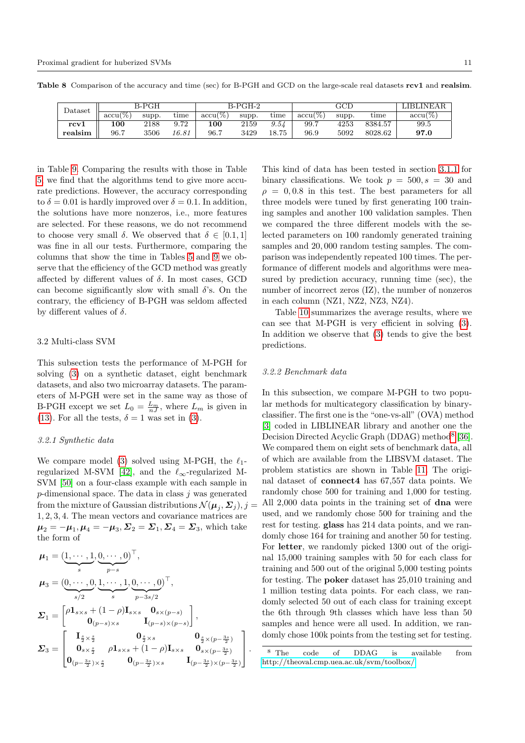<span id="page-10-0"></span>

| Dataset | B-PGH      |       |       |            | B-PGH-2 |         |                            | <b>LIBLINEAR</b> |         |                     |
|---------|------------|-------|-------|------------|---------|---------|----------------------------|------------------|---------|---------------------|
|         | $accu(\%)$ | supp. | time  | $accu(\%)$ | supp.   | time    | $\operatorname{accu}(\% )$ | supp.            | time    | $\mathrm{accu}(\%)$ |
| rcv1    | 100        | 2188  | 9.72  | 100        | 2159    | $9.5\%$ | 99.7                       | 4253             | 8384.57 | 99.5                |
| realsim | 96.7       | 3506  | 16.81 | 96.7       | 3429    | 18.75   | 96.9                       | 5092             | 8028.62 | 97.0                |

Table 8 Comparison of the accuracy and time (sec) for B-PGH and GCD on the large-scale real datasets rcv1 and realsim.

in Table [9.](#page-11-0) Comparing the results with those in Table [5,](#page-9-0) we find that the algorithms tend to give more accurate predictions. However, the accuracy corresponding to  $\delta = 0.01$  is hardly improved over  $\delta = 0.1$ . In addition, the solutions have more nonzeros, i.e., more features are selected. For these reasons, we do not recommend to choose very small  $\delta$ . We observed that  $\delta \in [0.1, 1]$ was fine in all our tests. Furthermore, comparing the columns that show the time in Tables [5](#page-9-0) and [9](#page-11-0) we observe that the efficiency of the GCD method was greatly affected by different values of  $\delta$ . In most cases, GCD can become significantly slow with small  $\delta$ 's. On the contrary, the efficiency of B-PGH was seldom affected by different values of  $\delta$ .

#### 3.2 Multi-class SVM

This subsection tests the performance of M-PGH for solving [\(3\)](#page-2-1) on a synthetic dataset, eight benchmark datasets, and also two microarray datasets. The parameters of M-PGH were set in the same way as those of B-PGH except we set  $L_0 = \frac{L_m}{nJ}$ , where  $L_m$  is given in [\(13\)](#page-4-7). For all the tests,  $\delta = 1$  was set in [\(3\)](#page-2-1).

## 3.2.1 Synthetic data

We compare model [\(3\)](#page-2-1) solved using M-PGH, the  $\ell_1$ -regularized M-SVM [\[42\]](#page-16-5), and the  $\ell_{\infty}$ -regularized M-SVM [\[50\]](#page-16-6) on a four-class example with each sample in  $p$ -dimensional space. The data in class  $j$  was generated from the mixture of Gaussian distributions  $\mathcal{N}(\boldsymbol{\mu}_j, \boldsymbol{\varSigma}_j), j=1$ 1, 2, 3, 4. The mean vectors and covariance matrices are  $\boldsymbol{\mu}_2 = -\boldsymbol{\mu}_1, \boldsymbol{\mu}_4 = -\boldsymbol{\mu}_3, \boldsymbol{\Sigma}_2 = \boldsymbol{\Sigma}_1, \boldsymbol{\Sigma}_4 = \boldsymbol{\Sigma}_3,$  which take the form of

$$
\mu_1 = (\underbrace{1, \cdots, 1}_{s}, \underbrace{0, \cdots, 0}_{p-s})^{\top},
$$
\n
$$
\mu_3 = (\underbrace{0, \cdots, 0}_{s/2}, \underbrace{1, \cdots, 1}_{s}, \underbrace{0, \cdots, 0}_{p-3s/2})^{\top},
$$
\n
$$
\Sigma_1 = \begin{bmatrix} \rho \mathbf{1}_{s \times s} + (1 - \rho) \mathbf{I}_{s \times s} & \mathbf{0}_{s \times (p-s)} \\ \mathbf{0}_{(p-s) \times s} & \mathbf{I}_{(p-s) \times (p-s)} \end{bmatrix},
$$
\n
$$
\Sigma_3 = \begin{bmatrix} \mathbf{I}_{\frac{s}{2} \times \frac{s}{2}} & \rho \mathbf{1}_{s \times s} + (1 - \rho) \mathbf{I}_{s \times s} & \mathbf{0}_{\frac{s}{2} \times (p-\frac{3s}{2})} \\ \mathbf{0}_{(p-\frac{3s}{2}) \times \frac{s}{2}} & \mathbf{0}_{(p-\frac{3s}{2}) \times s} & \mathbf{I}_{(p-\frac{3s}{2}) \times (p-\frac{3s}{2})} \end{bmatrix}.
$$

This kind of data has been tested in section [3.1.1](#page-7-0) for binary classifications. We took  $p = 500, s = 30$  and  $\rho = 0.0.8$  in this test. The best parameters for all three models were tuned by first generating 100 training samples and another 100 validation samples. Then we compared the three different models with the selected parameters on 100 randomly generated training samples and 20, 000 random testing samples. The comparison was independently repeated 100 times. The performance of different models and algorithms were measured by prediction accuracy, running time (sec), the number of incorrect zeros (IZ), the number of nonzeros in each column (NZ1, NZ2, NZ3, NZ4).

Table [10](#page-11-1) summarizes the average results, where we can see that M-PGH is very efficient in solving [\(3\)](#page-2-1). In addition we observe that [\(3\)](#page-2-1) tends to give the best predictions.

#### 3.2.2 Benchmark data

In this subsection, we compare M-PGH to two popular methods for multicategory classification by binaryclassifier. The first one is the "one-vs-all" (OVA) method [\[3\]](#page-15-4) coded in LIBLINEAR library and another one the Decision Directed Acyclic Graph (DDAG) method<sup>[8](#page-10-1)</sup> [\[36\]](#page-15-6). We compared them on eight sets of benchmark data, all of which are available from the LIBSVM dataset. The problem statistics are shown in Table [11.](#page-11-2) The original dataset of connect4 has 67,557 data points. We randomly chose 500 for training and 1,000 for testing. All 2,000 data points in the training set of dna were used, and we randomly chose 500 for training and the rest for testing. glass has 214 data points, and we randomly chose 164 for training and another 50 for testing. For letter, we randomly picked 1300 out of the original 15,000 training samples with 50 for each class for training and 500 out of the original 5,000 testing points for testing. The poker dataset has 25,010 training and 1 million testing data points. For each class, we randomly selected 50 out of each class for training except the 6th through 9th classes which have less than 50 samples and hence were all used. In addition, we randomly chose 100k points from the testing set for testing.

<span id="page-10-1"></span><sup>8</sup> The code of DDAG is available from <http://theoval.cmp.uea.ac.uk/svm/toolbox/>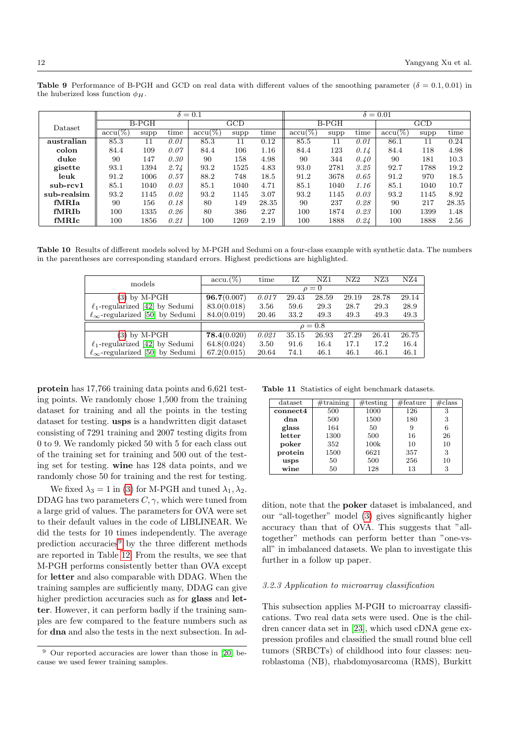<span id="page-11-0"></span>Table 9 Performance of B-PGH and GCD on real data with different values of the smoothing parameter ( $\delta = 0.1, 0.01$ ) in the huberized loss function  $\phi_H$ .

|             |            |      |      | $\delta = 0.1$            |      |       | $\delta = 0.01$ |         |      |            |      |       |
|-------------|------------|------|------|---------------------------|------|-------|-----------------|---------|------|------------|------|-------|
| Dataset     | $B-PGH$    |      |      | $\overline{\mathrm{GCD}}$ |      |       |                 | $B-PGH$ |      | GCD        |      |       |
|             | $accu(\%)$ | supp | time | $accu(\%)$                | supp | time  | $accu(\%)$      | supp    | time | $accu(\%)$ | supp | time  |
| australian  | 85.3       | 11   | 0.01 | 85.3                      | 11   | 0.12  | 85.5            | 11      | 0.01 | 86.1       | 11   | 0.24  |
| colon       | 84.4       | 109  | 0.07 | 84.4                      | 106  | 1.16  | 84.4            | 123     | 0.14 | 84.4       | 118  | 4.98  |
| duke        | 90         | 147  | 0.30 | 90                        | 158  | 4.98  | 90              | 344     | 0.40 | 90         | 181  | 10.3  |
| gisette     | 93.1       | 1394 | 2.74 | 93.2                      | 1525 | 4.83  | 93.0            | 2781    | 3.25 | 92.7       | 1788 | 19.2  |
| leuk        | 91.2       | 1006 | 0.57 | 88.2                      | 748  | 18.5  | 91.2            | 3678    | 0.65 | 91.2       | 970  | 18.5  |
| $sub-rcv1$  | 85.1       | 1040 | 0.03 | 85.1                      | 1040 | 4.71  | 85.1            | 1040    | 1.16 | 85.1       | 1040 | 10.7  |
| sub-realsim | 93.2       | 1145 | 0.02 | 93.2                      | 1145 | 3.07  | 93.2            | 1145    | 0.03 | 93.2       | 1145 | 8.92  |
| fMRIa       | 90         | 156  | 0.18 | 80                        | 149  | 28.35 | 90              | 237     | 0.28 | 90         | 217  | 28.35 |
| fMR.Ib      | 100        | 1335 | 0.26 | 80                        | 386  | 2.27  | 100             | 1874    | 0.23 | 100        | 1399 | 1.48  |
| fMRIc       | 100        | 1856 | 0.21 | 100                       | 1269 | 2.19  | 100             | 1888    | 0.24 | 100        | 1888 | 2.56  |

Table 10 Results of different models solved by M-PGH and Sedumi on a four-class example with synthetic data. The numbers in the parentheses are corresponding standard errors. Highest predictions are highlighted.

<span id="page-11-1"></span>

| models                                      | $accu.(\%)$ | time     | IΖ    | NZ1          | NZ2   | NZ3   | NZ4   |  |  |  |  |
|---------------------------------------------|-------------|----------|-------|--------------|-------|-------|-------|--|--|--|--|
|                                             |             | $\rho=0$ |       |              |       |       |       |  |  |  |  |
| $(3)$ by M-PGH                              | 96.7(0.007) | 0.017    | 29.43 | 28.59        | 29.19 | 28.78 | 29.14 |  |  |  |  |
| $\ell_1$ -regularized [42] by Sedumi        | 83.0(0.018) | 3.56     | 59.6  | 29.3         | 28.7  | 29.3  | 28.9  |  |  |  |  |
| $\ell_{\infty}$ -regularized [50] by Sedumi | 84.0(0.019) | 20.46    | 33.2  | 49.3         | 49.3  | 49.3  | 49.3  |  |  |  |  |
|                                             |             |          |       | $\rho = 0.8$ |       |       |       |  |  |  |  |
| by M-PGH<br>3)                              | 78.4(0.020) | 0.021    | 35.15 | 26.93        | 27.29 | 26.41 | 26.75 |  |  |  |  |
| $\ell_1$ -regularized [42] by Sedumi        | 64.8(0.024) | 3.50     | 91.6  | 16.4         | 17.1  | 17.2  | 16.4  |  |  |  |  |
| $\ell_{\infty}$ -regularized [50] by Sedumi | 67.2(0.015) | 20.64    | 74.1  | 46.1         | 46.1  | 46.1  | 46.1  |  |  |  |  |

protein has 17,766 training data points and 6,621 testing points. We randomly chose 1,500 from the training dataset for training and all the points in the testing dataset for testing. usps is a handwritten digit dataset consisting of 7291 training and 2007 testing digits from 0 to 9. We randomly picked 50 with 5 for each class out of the training set for training and 500 out of the testing set for testing. wine has 128 data points, and we randomly chose 50 for training and the rest for testing.

We fixed  $\lambda_3 = 1$  in [\(3\)](#page-2-1) for M-PGH and tuned  $\lambda_1, \lambda_2$ . DDAG has two parameters  $C, \gamma$ , which were tuned from a large grid of values. The parameters for OVA were set to their default values in the code of LIBLINEAR. We did the tests for 10 times independently. The average prediction accuracies $9$  by the three different methods are reported in Table [12.](#page-12-0) From the results, we see that M-PGH performs consistently better than OVA except for letter and also comparable with DDAG. When the training samples are sufficiently many, DDAG can give higher prediction accuracies such as for **glass** and **let**ter. However, it can perform badly if the training samples are few compared to the feature numbers such as for dna and also the tests in the next subsection. In ad-

Table 11 Statistics of eight benchmark datasets.

<span id="page-11-2"></span>

| dataset  | $\#$ training | $\#$ testing | $#$ feature | $\#\text{class}$ |
|----------|---------------|--------------|-------------|------------------|
| connect4 | 500           | 1000         | 126         | 3                |
| dna      | 500           | 1500         | 180         | 3                |
| glass    | 164           | 50           | 9           | 6                |
| letter   | 1300          | 500          | 16          | 26               |
| poker    | 352           | 100k         | 10          | 10               |
| protein  | 1500          | 6621         | 357         | 3                |
| usps     | 50            | 500          | 256         | 10               |
| wine     | 50            | 128          | 13          | 3                |

dition, note that the poker dataset is imbalanced, and our "all-together" model [\(3\)](#page-2-1) gives significantly higher accuracy than that of OVA. This suggests that "alltogether" methods can perform better than "one-vsall" in imbalanced datasets. We plan to investigate this further in a follow up paper.

#### 3.2.3 Application to microarray classification

This subsection applies M-PGH to microarray classifications. Two real data sets were used. One is the children cancer data set in [\[23\]](#page-15-33), which used cDNA gene expression profiles and classified the small round blue cell tumors (SRBCTs) of childhood into four classes: neuroblastoma (NB), rhabdomyosarcoma (RMS), Burkitt

<span id="page-11-3"></span>Our reported accuracies are lower than those in [\[20\]](#page-15-7) because we used fewer training samples.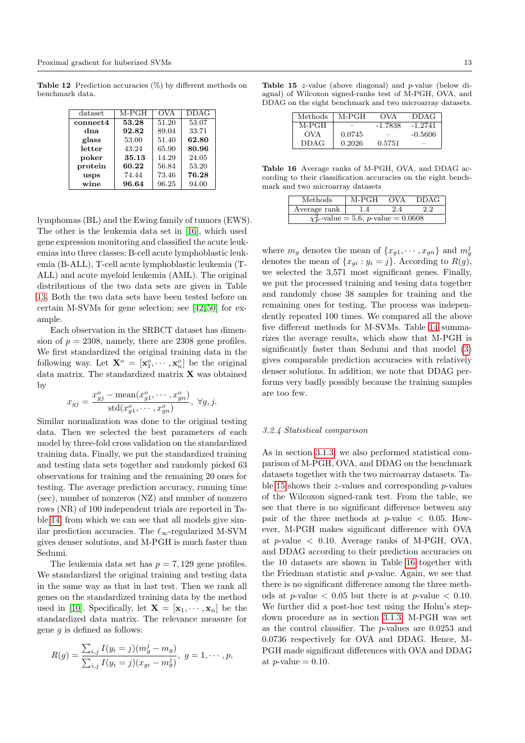**Table 12** Prediction accuracies  $(\%)$  by different methods on benchmark data.

<span id="page-12-0"></span>

| dataset  | M-PGH | <b>OVA</b> | DDAG  |
|----------|-------|------------|-------|
| connect4 | 53.28 | 51.20      | 53.07 |
| dna      | 92.82 | 89.04      | 33.71 |
| glass    | 53.00 | 51.40      | 62.80 |
| letter   | 43.24 | 65.90      | 80.96 |
| poker    | 35.13 | 14.29      | 24.05 |
| protein  | 60.22 | 56.84      | 53.20 |
| usps     | 74.44 | 73.46      | 76.28 |
| wine     | 96.64 | 96.25      | 94.00 |

lymphomas (BL) and the Ewing family of tumors (EWS). The other is the leukemia data set in [\[16\]](#page-15-34), which used gene expression monitoring and classified the acute leukemias into three classes: B-cell acute lymphoblastic leukemia (B-ALL), T-cell acute lymphoblastic leukemia (T-ALL) and acute myeloid leukemia (AML). The original distributions of the two data sets are given in Table [13.](#page-13-3) Both the two data sets have been tested before on certain M-SVMs for gene selection; see [\[42,](#page-16-5) [50\]](#page-16-6) for example.

Each observation in the SRBCT dataset has dimension of  $p = 2308$ , namely, there are 2308 gene profiles. We first standardized the original training data in the following way. Let  $\mathbf{X}^o = [\mathbf{x}_1^o, \cdots, \mathbf{x}_n^o]$  be the original data matrix. The standardized matrix X was obtained by

$$
x_{gj} = \frac{x_{gj}^o - \text{mean}(x_{g1}^o, \dots, x_{gn}^o)}{\text{std}(x_{g1}^o, \dots, x_{gn}^o)}, \ \forall g, j.
$$

Similar normalization was done to the original testing data. Then we selected the best parameters of each model by three-fold cross validation on the standardized training data. Finally, we put the standardized training and testing data sets together and randomly picked 63 observations for training and the remaining 20 ones for testing. The average prediction accuracy, running time (sec), number of nonzeros (NZ) and number of nonzero rows (NR) of 100 independent trials are reported in Table [14,](#page-13-4) from which we can see that all models give similar prediction accuracies. The  $\ell_{\infty}$ -regularized M-SVM gives denser solutions, and M-PGH is much faster than Sedumi.

The leukemia data set has  $p = 7,129$  gene profiles. We standardized the original training and testing data in the same way as that in last test. Then we rank all genes on the standardized training data by the method used in [\[10\]](#page-15-35). Specifically, let  $\mathbf{X} = [\mathbf{x}_1, \cdots, \mathbf{x}_n]$  be the standardized data matrix. The relevance measure for gene  $g$  is defined as follows:

$$
R(g) = \frac{\sum_{i,j} I(y_i = j)(m_g^j - m_g)}{\sum_{i,j} I(y_i = j)(x_{gi} - m_g^j)}, \ g = 1, \cdots, p,
$$

Table 15 z-value (above diagonal) and p-value (below diagnal) of Wilcoxon signed-ranks test of M-PGH, OVA, and DDAG on the eight benchmark and two microarray datasets.

<span id="page-12-1"></span>

| Methods | M-PGH  | OVA     | DDAG      |
|---------|--------|---------|-----------|
| M-PGH   |        | -1.7838 | $-1.2741$ |
| OVA     | 0.0745 |         | -0.5606   |
| DDAG    | 0.2026 | 0.5751  |           |

Table 16 Average ranks of M-PGH, OVA, and DDAG according to their classification accuracies on the eight benchmark and two microarray datasets

<span id="page-12-2"></span>

| Methods                                   | M-PGH | <b>OVA</b> | <b>DDAG</b> |  |  |  |  |
|-------------------------------------------|-------|------------|-------------|--|--|--|--|
| Average rank                              | 1.4   | 24         |             |  |  |  |  |
| $\chi^2_F$ -value = 5.6, p-value = 0.0608 |       |            |             |  |  |  |  |

where  $m_g$  denotes the mean of  $\{x_{g1}, \dots, x_{gn}\}$  and  $m_g^j$ denotes the mean of  $\{x_{qi} : y_i = j\}$ . According to  $R(g)$ , we selected the 3,571 most significant genes. Finally, we put the processed training and tesing data together and randomly chose 38 samples for training and the remaining ones for testing. The process was independently repeated 100 times. We compared all the above five different methods for M-SVMs. Table [14](#page-13-4) summarizes the average results, which show that M-PGH is significantly faster than Sedumi and that model [\(3\)](#page-2-1) gives comparable prediction accuracies with relatively denser solutions. In addition, we note that DDAG performs very badly possibly because the training samples are too few.

## 3.2.4 Statistical comparison

As in section [3.1.3,](#page-8-3) we also performed statistical comparison of M-PGH, OVA, and DDAG on the benchmark datasets together with the two microarray datasets. Ta-ble [15](#page-12-1) shows their  $z$ -values and corresponding  $p$ -values of the Wilcoxon signed-rank test. From the table, we see that there is no significant difference between any pair of the three methods at  $p$ -value  $\lt$  0.05. However, M-PGH makes significant difference with OVA at  $p$ -value  $\langle$  0.10. Average ranks of M-PGH, OVA, and DDAG according to their prediction accuracies on the 10 datasets are shown in Table [16](#page-12-2) together with the Friedman statistic and p-value. Again, we see that there is no significant difference among the three methods at p-value  $\langle 0.05 \text{ but there is at } p\text{-value} \langle 0.10 \rangle$ . We further did a post-hoc test using the Holm's stepdown procedure as in section [3.1.3.](#page-8-3) M-PGH was set as the control classifier. The p-values are 0.0253 and 0.0736 respectively for OVA and DDAG. Hence, M-PGH made significant differences with OVA and DDAG at  $p$ -value = 0.10.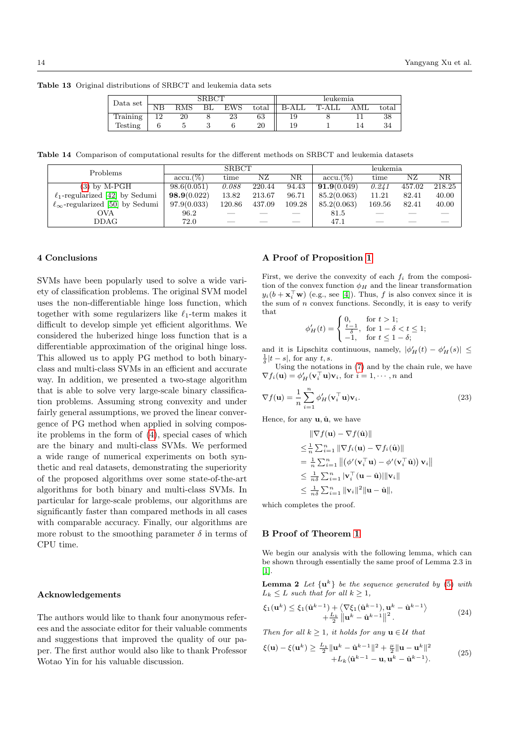Table 13 Original distributions of SRBCT and leukemia data sets

<span id="page-13-3"></span>

| Data set       | ${\rm SRBCT}$ |            |  |     |       | leukemia |       |     |         |
|----------------|---------------|------------|--|-----|-------|----------|-------|-----|---------|
|                |               | <b>RMS</b> |  | EWS | total | B-ALL    | T-ALL | AML | total   |
| Training       | ∣ີ            | 20         |  | 23  | 63    |          |       |     | ഹ<br>38 |
| <b>Testing</b> |               |            |  |     | 20    | 19       |       |     |         |

Table 14 Comparison of computational results for the different methods on SRBCT and leukemia datasets

<span id="page-13-4"></span>

| Problems                                    | <b>SRBCT</b> |        |        |        | leukemia    |        |        |        |
|---------------------------------------------|--------------|--------|--------|--------|-------------|--------|--------|--------|
|                                             | $accu.(\%)$  | time   | ΝZ     | ΝR     | $accu.(\%)$ | time   | ΝZ     | ΝR     |
| $(3)$ by M-PGH                              | 98.6(0.051)  | 0.088  | 220.44 | 94.43  | 91.9(0.049) | 0.241  | 457.02 | 218.25 |
| $\ell_1$ -regularized [42] by Sedumi        | 98.9(0.022)  | 13.82  | 213.67 | 96.71  | 85.2(0.063) | 11.21  | 82.41  | 40.00  |
| $\ell_{\infty}$ -regularized [50] by Sedumi | 97.9(0.033)  | 120.86 | 437.09 | 109.28 | 85.2(0.063) | 169.56 | 82.41  | 40.00  |
| OVA                                         | 96.2         |        |        |        | 81.5        |        |        |        |
| DDAG                                        | 72.0         | __     |        |        | 47.1        | __     |        |        |

#### <span id="page-13-0"></span>4 Conclusions

SVMs have been popularly used to solve a wide variety of classification problems. The original SVM model uses the non-differentiable hinge loss function, which together with some regularizers like  $\ell_1$ -term makes it difficult to develop simple yet efficient algorithms. We considered the huberized hinge loss function that is a differentiable approximation of the original hinge loss. This allowed us to apply PG method to both binaryclass and multi-class SVMs in an efficient and accurate way. In addition, we presented a two-stage algorithm that is able to solve very large-scale binary classification problems. Assuming strong convexity and under fairly general assumptions, we proved the linear convergence of PG method when applied in solving composite problems in the form of [\(4\)](#page-2-4), special cases of which are the binary and multi-class SVMs. We performed a wide range of numerical experiments on both synthetic and real datasets, demonstrating the superiority of the proposed algorithms over some state-of-the-art algorithms for both binary and multi-class SVMs. In particular for large-scale problems, our algorithms are significantly faster than compared methods in all cases with comparable accuracy. Finally, our algorithms are more robust to the smoothing parameter  $\delta$  in terms of CPU time.

# Acknowledgements

The authors would like to thank four anonymous referees and the associate editor for their valuable comments and suggestions that improved the quality of our paper. The first author would also like to thank Professor Wotao Yin for his valuable discussion.

# A Proof of Proposition [1](#page-3-5)

First, we derive the convexity of each  $f_i$  from the composition of the convex function  $\phi_H$  and the linear transformation  $y_i(b + \mathbf{x}_i^{\top}\mathbf{w})$  (e.g., see [\[4\]](#page-15-36)). Thus, f is also convex since it is the sum of  $n$  convex functions. Secondly, it is easy to verify that

$$
\phi'_H(t) = \begin{cases} 0, & \text{for } t > 1; \\ \frac{t-1}{\delta}, & \text{for } 1 - \delta < t \le 1; \\ -1, & \text{for } t \le 1 - \delta; \end{cases}
$$

and it is Lipschitz continuous, namely,  $|\phi'_H(t) - \phi'_H(s)| \le$  $\frac{1}{\delta}|t-s|$ , for any  $t, s$ .

Using the notations in [\(7\)](#page-3-6) and by the chain rule, we have  $\nabla f_i(\mathbf{u}) = \phi'_H(\mathbf{v}_i^\top \mathbf{u}) \mathbf{v}_i$ , for  $i = 1, \dots, n$  and

$$
\nabla f(\mathbf{u}) = \frac{1}{n} \sum_{i=1}^{n} \phi'_{H}(\mathbf{v}_i^{\top} \mathbf{u}) \mathbf{v}_i.
$$
 (23)

Hence, for any  $\mathbf{u}$ ,  $\hat{\mathbf{u}}$ , we have

$$
\|\nabla f(\mathbf{u}) - \nabla f(\hat{\mathbf{u}})\|
$$
  
\n
$$
\leq \frac{1}{n} \sum_{i=1}^{n} \|\nabla f_i(\mathbf{u}) - \nabla f_i(\hat{\mathbf{u}})\|
$$
  
\n
$$
= \frac{1}{n} \sum_{i=1}^{n} \|(\phi'(\mathbf{v}_i^{\top}\mathbf{u}) - \phi'(\mathbf{v}_i^{\top}\hat{\mathbf{u}})) \mathbf{v}_i\|
$$
  
\n
$$
\leq \frac{1}{n\delta} \sum_{i=1}^{n} |\mathbf{v}_i^{\top}(\mathbf{u} - \hat{\mathbf{u}})||\mathbf{v}_i\|
$$
  
\n
$$
\leq \frac{1}{n\delta} \sum_{i=1}^{n} ||\mathbf{v}_i||^2 \|\mathbf{u} - \hat{\mathbf{u}}\|,
$$

which completes the proof.

#### B Proof of Theorem [1](#page-5-2)

<span id="page-13-1"></span>We begin our analysis with the following lemma, which can be shown through essentially the same proof of Lemma 2.3 in [\[1\]](#page-15-9).

<span id="page-13-2"></span>**Lemma 2** Let  $\{u^k\}$  be the sequence generated by [\(5\)](#page-2-5) with  $L_k \leq L$  such that for all  $k \geq 1$ ,

$$
\xi_1(\mathbf{u}^k) \leq \xi_1(\hat{\mathbf{u}}^{k-1}) + \langle \nabla \xi_1(\hat{\mathbf{u}}^{k-1}), \mathbf{u}^k - \hat{\mathbf{u}}^{k-1} \rangle \n+ \frac{L_k}{2} ||\mathbf{u}^k - \hat{\mathbf{u}}^{k-1}||^2.
$$
\n(24)

Then for all  $k \geq 1$ , it holds for any  $\mathbf{u} \in \mathcal{U}$  that

<span id="page-13-5"></span>
$$
\xi(\mathbf{u}) - \xi(\mathbf{u}^k) \ge \frac{L_k}{2} \|\mathbf{u}^k - \hat{\mathbf{u}}^{k-1}\|^2 + \frac{\mu}{2} \|\mathbf{u} - \mathbf{u}^k\|^2 + L_k(\hat{\mathbf{u}}^{k-1} - \mathbf{u}, \mathbf{u}^k - \hat{\mathbf{u}}^{k-1}).
$$
(25)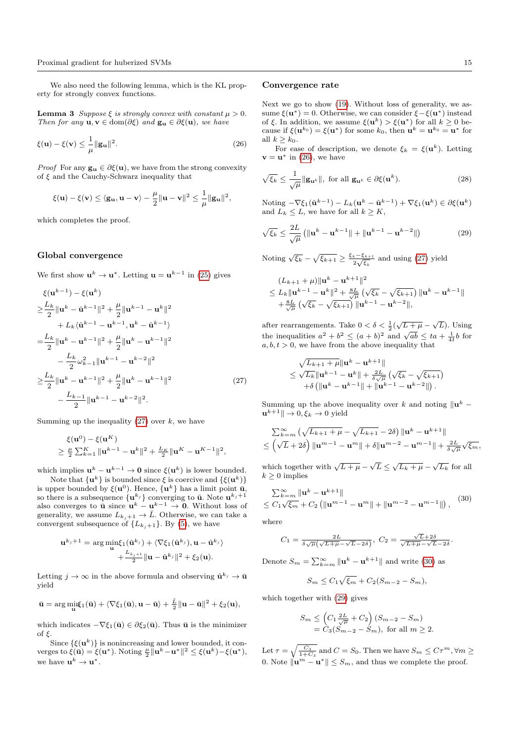We also need the following lemma, which is the KL property for strongly convex functions.

**Lemma 3** Suppose  $\xi$  is strongly convex with constant  $\mu > 0$ . Then for any  $\mathbf{u}, \mathbf{v} \in \text{dom}(\partial \xi)$  and  $\mathbf{g}_{\mathbf{u}} \in \partial \xi(\mathbf{u})$ , we have

$$
\xi(\mathbf{u}) - \xi(\mathbf{v}) \le \frac{1}{\mu} \|\mathbf{g}_{\mathbf{u}}\|^2.
$$
 (26)

*Proof* For any  $\mathbf{g}_{\mathbf{u}} \in \partial \xi(\mathbf{u})$ , we have from the strong convexity of  $\xi$  and the Cauchy-Schwarz inequality that

$$
\xi(\mathbf{u}) - \xi(\mathbf{v}) \le \langle \mathbf{g}_{\mathbf{u}}, \mathbf{u} - \mathbf{v} \rangle - \frac{\mu}{2} \|\mathbf{u} - \mathbf{v}\|^2 \le \frac{1}{\mu} \|\mathbf{g}_{\mathbf{u}}\|^2,
$$

which completes the proof.

#### Global convergence

We first show  $\mathbf{u}^k \to \mathbf{u}^*$ . Letting  $\mathbf{u} = \mathbf{u}^{k-1}$  in [\(25\)](#page-13-5) gives

$$
\xi(\mathbf{u}^{k-1}) - \xi(\mathbf{u}^{k})
$$
\n
$$
\geq \frac{L_{k}}{2} \|\mathbf{u}^{k} - \hat{\mathbf{u}}^{k-1}\|^{2} + \frac{\mu}{2} \|\mathbf{u}^{k-1} - \mathbf{u}^{k}\|^{2}
$$
\n
$$
+ L_{k} \langle \hat{\mathbf{u}}^{k-1} - \mathbf{u}^{k-1}, \mathbf{u}^{k} - \hat{\mathbf{u}}^{k-1} \rangle
$$
\n
$$
= \frac{L_{k}}{2} \|\mathbf{u}^{k} - \mathbf{u}^{k-1}\|^{2} + \frac{\mu}{2} \|\mathbf{u}^{k} - \mathbf{u}^{k-1}\|^{2}
$$
\n
$$
- \frac{L_{k}}{2} \omega_{k-1}^{2} \|\mathbf{u}^{k-1} - \mathbf{u}^{k-2}\|^{2}
$$
\n
$$
\geq \frac{L_{k}}{2} \|\mathbf{u}^{k} - \mathbf{u}^{k-1}\|^{2} + \frac{\mu}{2} \|\mathbf{u}^{k} - \mathbf{u}^{k-1}\|^{2}
$$
\n
$$
- \frac{L_{k-1}}{2} \|\mathbf{u}^{k-1} - \mathbf{u}^{k-2}\|^{2}.
$$
\n(27)

Summing up the inequality  $(27)$  over k, we have

$$
\xi(\mathbf{u}^0) - \xi(\mathbf{u}^K) \geq \frac{\mu}{2} \sum_{k=1}^K \|\mathbf{u}^{k-1} - \mathbf{u}^k\|^2 + \frac{L_K}{2} \|\mathbf{u}^K - \mathbf{u}^{K-1}\|^2,
$$

which implies  $\mathbf{u}^{k} - \mathbf{u}^{k-1} \to \mathbf{0}$  since  $\xi(\mathbf{u}^{k})$  is lower bounded.

Note that  $\{u^k\}$  is bounded since  $\xi$  is coercive and  $\{\xi(u^k)\}$ is upper bounded by  $\xi(\mathbf{u}^0)$ . Hence,  $\{\mathbf{u}^k\}$  has a limit point  $\bar{\mathbf{u}}$ , so there is a subsequence  $\{u^{k_j}\}$  converging to  $\bar{u}$ . Note  $u^{k_j+1}$ also converges to  $\bar{u}$  since  $u^k - u^{k-1} \to 0$ . Without loss of generality, we assume  $L_{k_j+1} \to \bar{L}$ . Otherwise, we can take a convergent subsequence of  $\{L_{k_j+1}\}\.$  By [\(5\)](#page-2-5), we have

$$
\mathbf{u}^{k_j+1} = \arg\min_{\mathbf{u}} \xi_1(\hat{\mathbf{u}}^{k_j}) + \langle \nabla \xi_1(\hat{\mathbf{u}}^{k_j}), \mathbf{u} - \hat{\mathbf{u}}^{k_j} \rangle + \frac{L_{k_j+1}}{2} ||\mathbf{u} - \hat{\mathbf{u}}^{k_j}||^2 + \xi_2(\mathbf{u}).
$$

Letting  $j \to \infty$  in the above formula and observing  $\hat{\mathbf{u}}^{k_j} \to \bar{\mathbf{u}}$ yield

$$
\bar{\mathbf{u}} = \arg\min_{\mathbf{u}} \{ \bar{\mathbf{u}} \} + \langle \nabla \xi_1(\bar{\mathbf{u}}), \mathbf{u} - \bar{\mathbf{u}} \rangle + \frac{\bar{L}}{2} \| \mathbf{u} - \bar{\mathbf{u}} \|^2 + \xi_2(\mathbf{u}),
$$

which indicates  $-\nabla \xi_1(\bar{\mathbf{u}}) \in \partial \xi_2(\bar{\mathbf{u}})$ . Thus  $\bar{\mathbf{u}}$  is the minimizer of  $\xi$ .

Since  $\{\xi(\mathbf{u}^k)\}\$ is nonincreasing and lower bounded, it converges to  $\xi(\bar{\mathbf{u}}) = \xi(\mathbf{u}^*)$ . Noting  $\frac{\mu}{2} ||\mathbf{u}^k - \mathbf{u}^*||^2 \leq \xi(\mathbf{u}^k) - \xi(\mathbf{u}^*),$ we have  $\mathbf{u}^k \to \mathbf{u}^*$ .

#### Convergence rate

<span id="page-14-1"></span>Next we go to show [\(19\)](#page-5-4). Without loss of generality, we assume  $\xi(\mathbf{u}^*) = 0$ . Otherwise, we can consider  $\xi - \xi(\mathbf{u}^*)$  instead of  $\xi$ . In addition, we assume  $\xi(\mathbf{u}^k) > \xi(\mathbf{u}^*)$  for all  $k \geq 0$  because if  $\xi(\mathbf{u}^{k_0}) = \xi(\mathbf{u}^*)$  for some  $k_0$ , then  $\mathbf{u}^k = \mathbf{u}^{k_0} = \mathbf{u}^*$  for all  $k > k_0$ .

For ease of description, we denote  $\xi_k = \xi(\mathbf{u}^k)$ . Letting  $\mathbf{v} = \mathbf{u}^*$  in [\(26\)](#page-14-1), we have

$$
\sqrt{\xi_k} \le \frac{1}{\sqrt{\mu}} \|\mathbf{g}_{\mathbf{u}^k}\|, \text{ for all } \mathbf{g}_{\mathbf{u}^k} \in \partial \xi(\mathbf{u}^k). \tag{28}
$$

<span id="page-14-3"></span>Noting  $-\nabla \xi_1(\hat{\mathbf{u}}^{k-1}) - L_k(\mathbf{u}^k - \hat{\mathbf{u}}^{k-1}) + \nabla \xi_1(\mathbf{u}^k) \in \partial \xi(\mathbf{u}^k)$ and  $L_k \leq L$ , we have for all  $k \geq K$ ,

$$
\sqrt{\xi_k} \le \frac{2L}{\sqrt{\mu}} \left( \| \mathbf{u}^k - \mathbf{u}^{k-1} \| + \| \mathbf{u}^{k-1} - \mathbf{u}^{k-2} \| \right) \tag{29}
$$

Noting  $\sqrt{\xi_k} - \sqrt{\xi_{k+1}} \geq \frac{\xi_k - \xi_{k+1}}{2\sqrt{\xi_k}}$  $rac{k-\xi_{k+1}}{2\sqrt{\xi_k}}$  and using [\(27\)](#page-14-0) yield

$$
(L_{k+1} + \mu) \|\mathbf{u}^{k} - \mathbf{u}^{k+1}\|^2
$$
  
\n
$$
\leq L_k \|\mathbf{u}^{k-1} - \mathbf{u}^{k}\|^2 + \frac{sL}{\sqrt{\mu}} \left(\sqrt{\xi_k} - \sqrt{\xi_{k+1}}\right) \|\mathbf{u}^{k} - \mathbf{u}^{k-1}\|
$$
  
\n
$$
+ \frac{sL}{\sqrt{\mu}} \left(\sqrt{\xi_k} - \sqrt{\xi_{k+1}}\right) \|\mathbf{u}^{k-1} - \mathbf{u}^{k-2}\|,
$$

after rearrangements. Take  $0 < \delta < \frac{1}{2}(\sqrt{L+\mu} - \sqrt{L})$ . Using the inequalities  $a^2 + b^2 \le (a + b)^2$  and  $\sqrt{ab} \le ta + \frac{1}{4}b$  for  $a, b, t > 0$ , we have from the above inequality that

$$
\sqrt{L_{k+1} + \mu} \|\mathbf{u}^{k} - \mathbf{u}^{k+1}\|
$$
  
\$\leq \sqrt{L\_{k}} \|\mathbf{u}^{k-1} - \mathbf{u}^{k}\| + \frac{2L}{\delta \sqrt{\mu}} \left(\sqrt{\xi\_{k}} - \sqrt{\xi\_{k+1}}\right) \$  
+ \delta \left(\|\mathbf{u}^{k} - \mathbf{u}^{k-1}\| + \|\mathbf{u}^{k-1} - \mathbf{u}^{k-2}\|\right).

<span id="page-14-0"></span>Summing up the above inequality over k and noting  $\|\mathbf{u}^k\|$  $\mathbf{u}^{k+1}$ ||  $\rightarrow 0, \xi_k \rightarrow 0$  yield

$$
\sum_{k=m}^{\infty} \left( \sqrt{L_{k+1} + \mu} - \sqrt{L_{k+1}} - 2\delta \right) \left\| \mathbf{u}^{k} - \mathbf{u}^{k+1} \right\|
$$
  

$$
\leq \left( \sqrt{L} + 2\delta \right) \left\| \mathbf{u}^{m-1} - \mathbf{u}^{m} \right\| + \delta \left\| \mathbf{u}^{m-2} - \mathbf{u}^{m-1} \right\| + \frac{2L}{\delta \sqrt{\mu}} \sqrt{\xi_m},
$$

<span id="page-14-2"></span>which together with  $\sqrt{L+\mu} - \sqrt{L} \leq \sqrt{L_k+\mu} - \sqrt{L_k}$  for all  $k \geq 0$  implies

$$
\sum_{k=m}^{\infty} \|\mathbf{u}^{k} - \mathbf{u}^{k+1}\|
$$
  
\n
$$
\leq C_{1}\sqrt{\xi_{m}} + C_{2} (\|\mathbf{u}^{m-1} - \mathbf{u}^{m}\| + \|\mathbf{u}^{m-2} - \mathbf{u}^{m-1}\|),
$$
 (30)

where

$$
C_1 = \frac{2L}{\delta\sqrt{\mu}\left(\sqrt{L+\mu} - \sqrt{L} - 2\delta\right)}, \ C_2 = \frac{\sqrt{L} + 2\delta}{\sqrt{L+\mu} - \sqrt{L} - 2\delta}
$$

.

Denote  $S_m = \sum_{k=m}^{\infty} ||\mathbf{u}^k - \mathbf{u}^{k+1}||$  and write [\(30\)](#page-14-2) as

$$
S_m \le C_1 \sqrt{\xi_m} + C_2 (S_{m-2} - S_m),
$$

which together with [\(29\)](#page-14-3) gives

$$
S_m \leq \left(C_1 \frac{2L}{\sqrt{\mu}} + C_2\right) (S_{m-2} - S_m)
$$
  
=  $C_3 (S_{m-2} - S_m)$ , for all  $m \geq 2$ .

Let  $\tau = \sqrt{\frac{C_3}{1+C_3}}$  and  $C = S_0$ . Then we have  $S_m \leq C\tau^m, \forall m \geq$ 0. Note  $\|\mathbf{u}^m - \mathbf{u}^*\|$  ≤  $S_m$ , and thus we complete the proof.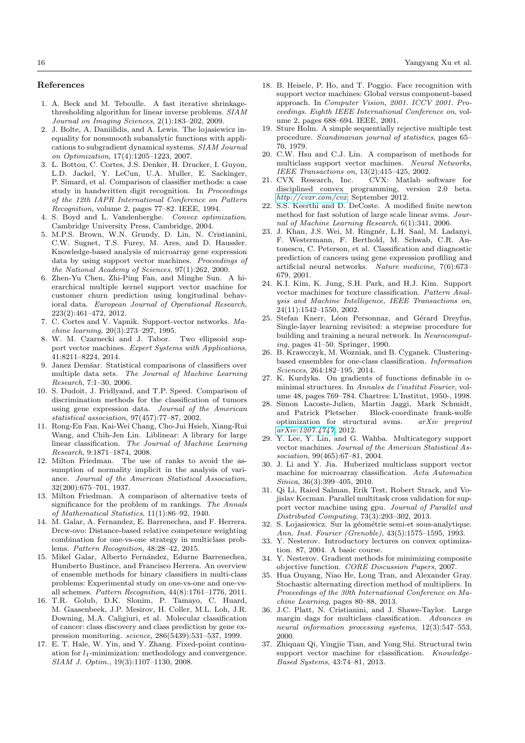#### References

- <span id="page-15-9"></span>1. A. Beck and M. Teboulle. A fast iterative shrinkagethresholding algorithm for linear inverse problems. SIAM Journal on Imaging Sciences, 2(1):183–202, 2009.
- <span id="page-15-25"></span>2. J. Bolte, A. Daniilidis, and A. Lewis. The lojasiewicz inequality for nonsmooth subanalytic functions with applications to subgradient dynamical systems. SIAM Journal on Optimization, 17(4):1205–1223, 2007.
- <span id="page-15-4"></span>3. L. Bottou, C. Cortes, J.S. Denker, H. Drucker, I. Guyon, L.D. Jackel, Y. LeCun, U.A. Muller, E. Sackinger, P. Simard, et al. Comparison of classifier methods: a case study in handwritten digit recognition. In Proceedings of the 12th IAPR International Conference on Pattern Recognition, volume 2, pages 77–82. IEEE, 1994.
- <span id="page-15-36"></span>4. S. Boyd and L. Vandenberghe. Convex optimization. Cambridge University Press, Cambridge, 2004.
- <span id="page-15-2"></span>5. M.P.S. Brown, W.N. Grundy, D. Lin, N. Cristianini, C.W. Sugnet, T.S. Furey, M. Ares, and D. Haussler. Knowledge-based analysis of microarray gene expression data by using support vector machines. Proceedings of the National Academy of Sciences, 97(1):262, 2000.
- <span id="page-15-19"></span>6. Zhen-Yu Chen, Zhi-Ping Fan, and Minghe Sun. A hierarchical multiple kernel support vector machine for customer churn prediction using longitudinal behavioral data. European Journal of Operational Research, 223(2):461–472, 2012.
- <span id="page-15-0"></span>7. C. Cortes and V. Vapnik. Support-vector networks. Machine learning, 20(3):273–297, 1995.
- <span id="page-15-20"></span>8. W. M. Czarnecki and J. Tabor. Two ellipsoid support vector machines. Expert Systems with Applications, 41:8211–8224, 2014.
- <span id="page-15-29"></span>9. Janez Demšar. Statistical comparisons of classifiers over multiple data sets. The Journal of Machine Learning Research, 7:1–30, 2006.
- <span id="page-15-35"></span>10. S. Dudoit, J. Fridlyand, and T.P. Speed. Comparison of discrimination methods for the classification of tumors using gene expression data. Journal of the American statistical association, 97(457):77–87, 2002.
- <span id="page-15-28"></span>11. Rong-En Fan, Kai-Wei Chang, Cho-Jui Hsieh, Xiang-Rui Wang, and Chih-Jen Lin. Liblinear: A library for large linear classification. The Journal of Machine Learning Research, 9:1871–1874, 2008.
- <span id="page-15-30"></span>12. Milton Friedman. The use of ranks to avoid the assumption of normality implicit in the analysis of variance. Journal of the American Statistical Association, 32(200):675–701, 1937.
- <span id="page-15-31"></span>13. Milton Friedman. A comparison of alternative tests of significance for the problem of m rankings. The Annals of Mathematical Statistics, 11(1):86–92, 1940.
- <span id="page-15-13"></span>14. M. Galar, A. Fernandez, E. Barrenechea, and F. Herrera. Drcw-ovo: Distance-based relative competence weighting combination for one-vs-one strategy in multiclass problems. Pattern Recognition, 48:28–42, 2015.
- <span id="page-15-12"></span>15. Mikel Galar, Alberto Fernández, Edurne Barrenechea, Humberto Bustince, and Francisco Herrera. An overview of ensemble methods for binary classifiers in multi-class problems: Experimental study on one-vs-one and one-vsall schemes. Pattern Recognition, 44(8):1761–1776, 2011.
- <span id="page-15-34"></span>16. T.R. Golub, D.K. Slonim, P. Tamayo, C. Huard, M. Gaasenbeek, J.P. Mesirov, H. Coller, M.L. Loh, J.R. Downing, M.A. Caligiuri, et al. Molecular classification of cancer: class discovery and class prediction by gene expression monitoring. science, 286(5439):531–537, 1999.
- <span id="page-15-26"></span>17. E. T. Hale, W. Yin, and Y. Zhang. Fixed-point continuation for  $l_1$ -minimization: methodology and convergence. SIAM J. Optim., 19(3):1107–1130, 2008.
- <span id="page-15-3"></span>18. B. Heisele, P. Ho, and T. Poggio. Face recognition with support vector machines: Global versus component-based approach. In Computer Vision, 2001. ICCV 2001. Proceedings. Eighth IEEE International Conference on, volume 2, pages 688–694. IEEE, 2001.
- <span id="page-15-32"></span>19. Sture Holm. A simple sequentially rejective multiple test procedure. Scandinavian journal of statistics, pages 65– 70, 1979.
- <span id="page-15-7"></span>20. C.W. Hsu and C.J. Lin. A comparison of methods for multiclass support vector machines. Neural Networks, IEEE Transactions on, 13(2):415–425, 2002.<br>21. CVX Research, Inc. CVX: Matlab s
- <span id="page-15-27"></span>CVX: Matlab software for disciplined convex programming, version 2.0 beta. <http://cvxr.com/cvx>, September 2012.
- <span id="page-15-10"></span>22. S.S. Keerthi and D. DeCoste. A modified finite newton method for fast solution of large scale linear svms. Journal of Machine Learning Research, 6(1):341, 2006.
- <span id="page-15-33"></span>23. J. Khan, J.S. Wei, M. Ringnér, L.H. Saal, M. Ladanyi, F. Westermann, F. Berthold, M. Schwab, C.R. Antonescu, C. Peterson, et al. Classification and diagnostic prediction of cancers using gene expression profiling and artificial neural networks. Nature medicine, 7(6):673– 679, 2001.
- <span id="page-15-1"></span>24. K.I. Kim, K. Jung, S.H. Park, and H.J. Kim. Support vector machines for texture classification. Pattern Analysis and Machine Intelligence, IEEE Transactions on, 24(11):1542–1550, 2002.
- <span id="page-15-5"></span>25. Stefan Knerr, Léon Personnaz, and Gérard Dreyfus. Single-layer learning revisited: a stepwise procedure for building and training a neural network. In Neurocomputing, pages 41–50. Springer, 1990.
- <span id="page-15-14"></span>26. B. Krawcczyk, M. Wozniak, and B. Cyganek. Clusteringbased ensembles for one-class classification. Information Sciences, 264:182–195, 2014.
- <span id="page-15-24"></span>27. K. Kurdyka. On gradients of functions definable in ominimal structures. In Annales de l'institut Fourier, volume 48, pages 769–784. Chartres: L'Institut, 1950-, 1998.
- <span id="page-15-15"></span>28. Simon Lacoste-Julien, Martin Jaggi, Mark Schmidt, and Patrick Pletscher. Block-coordinate frank-wolfe optimization for structural svms. arXiv preprint [arXiv:1207.4747](http://arxiv.org/abs/1207.4747), 2012.
- <span id="page-15-21"></span>29. Y. Lee, Y. Lin, and G. Wahba. Multicategory support vector machines. Journal of the American Statistical Association, 99(465):67–81, 2004.
- <span id="page-15-11"></span>30. J. Li and Y. Jia. Huberized multiclass support vector machine for microarray classification. Acta Automatica Sinica, 36(3):399–405, 2010.
- <span id="page-15-17"></span>31. Qi Li, Raied Salman, Erik Test, Robert Strack, and Vojislav Kecman. Parallel multitask cross validation for support vector machine using gpu. Journal of Parallel and Distributed Computing, 73(3):293–302, 2013.
- <span id="page-15-23"></span>32. S. Lojasiewicz. Sur la géométrie semi-et sous-analytique. Ann. Inst. Fourier (Grenoble), 43(5):1575–1595, 1993.
- <span id="page-15-22"></span>33. Y. Nesterov. Introductory lectures on convex optimization. 87, 2004. A basic course.
- <span id="page-15-8"></span>34. Y. Nesterov. Gradient methods for minimizing composite objective function. CORE Discussion Papers, 2007.
- <span id="page-15-16"></span>35. Hua Ouyang, Niao He, Long Tran, and Alexander Gray. Stochastic alternating direction method of multipliers. In Proceedings of the 30th International Conference on Machine Learning, pages 80–88, 2013.
- <span id="page-15-6"></span>36. J.C. Platt, N. Cristianini, and J. Shawe-Taylor. Large margin dags for multiclass classification. Advances in neural information processing systems, 12(3):547–553, 2000.
- <span id="page-15-18"></span>37. Zhiquan Qi, Yingjie Tian, and Yong Shi. Structural twin support vector machine for classification. Knowledge-Based Systems, 43:74–81, 2013.